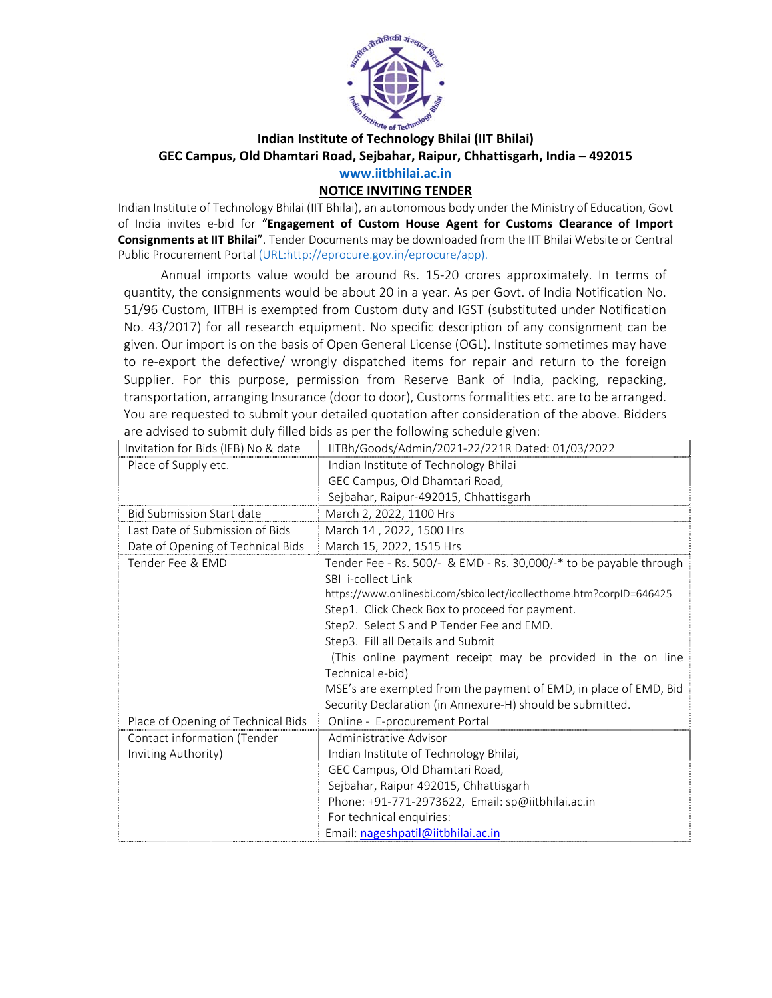

## **Indian Institute of Technology Bhilai (IIT Bhilai) GEC Campus, Old Dhamtari Road, Sejbahar, Raipur, Chhattisgarh, India – 492015 www.iitbhilai.ac.in**

### **NOTICE INVITING TENDER**

Indian Institute of Technology Bhilai (IIT Bhilai), an autonomous body under the Ministry of Education, Govt of India invites e‐bid for "**Engagement of Custom House Agent for Customs Clearance of Import Consignments at IIT Bhilai**". Tender Documents may be downloaded from the IIT Bhilai Website or Central Public Procurement Portal (URL:http://eprocure.gov.in/eprocure/app).

Annual imports value would be around Rs. 15‐20 crores approximately. In terms of quantity, the consignments would be about 20 in a year. As per Govt. of India Notification No. 51/96 Custom, IITBH is exempted from Custom duty and IGST (substituted under Notification No. 43/2017) for all research equipment. No specific description of any consignment can be given. Our import is on the basis of Open General License (OGL). Institute sometimes may have to re-export the defective/ wrongly dispatched items for repair and return to the foreign Supplier. For this purpose, permission from Reserve Bank of India, packing, repacking, transportation, arranging Insurance (door to door), Customs formalities etc. are to be arranged. You are requested to submit your detailed quotation after consideration of the above. Bidders are advised to submit duly filled bids as per the following schedule given:

| Invitation for Bids (IFB) No & date | IITBh/Goods/Admin/2021-22/221R Dated: 01/03/2022                    |
|-------------------------------------|---------------------------------------------------------------------|
| Place of Supply etc.                | Indian Institute of Technology Bhilai                               |
|                                     | GEC Campus, Old Dhamtari Road,                                      |
|                                     | Sejbahar, Raipur-492015, Chhattisgarh                               |
| <b>Bid Submission Start date</b>    | March 2, 2022, 1100 Hrs                                             |
| Last Date of Submission of Bids     | March 14, 2022, 1500 Hrs                                            |
| Date of Opening of Technical Bids   | March 15, 2022, 1515 Hrs                                            |
| Tender Fee & EMD                    | Tender Fee - Rs. 500/- & EMD - Rs. 30,000/-* to be payable through  |
|                                     | SBI i-collect Link                                                  |
|                                     | https://www.onlinesbi.com/sbicollect/icollecthome.htm?corpID=646425 |
|                                     | Step1. Click Check Box to proceed for payment.                      |
|                                     | Step2. Select S and P Tender Fee and EMD.                           |
|                                     | Step3. Fill all Details and Submit                                  |
|                                     | (This online payment receipt may be provided in the on line         |
|                                     | Technical e-bid)                                                    |
|                                     | MSE's are exempted from the payment of EMD, in place of EMD, Bid    |
|                                     | Security Declaration (in Annexure-H) should be submitted.           |
| Place of Opening of Technical Bids  | Online - E-procurement Portal                                       |
| Contact information (Tender         | Administrative Advisor                                              |
| Inviting Authority)                 | Indian Institute of Technology Bhilai,                              |
|                                     | GEC Campus, Old Dhamtari Road,                                      |
|                                     | Sejbahar, Raipur 492015, Chhattisgarh                               |
|                                     | Phone: +91-771-2973622, Email: sp@iitbhilai.ac.in                   |
|                                     | For technical enquiries:                                            |
|                                     | Email: nageshpatil@iitbhilai.ac.in                                  |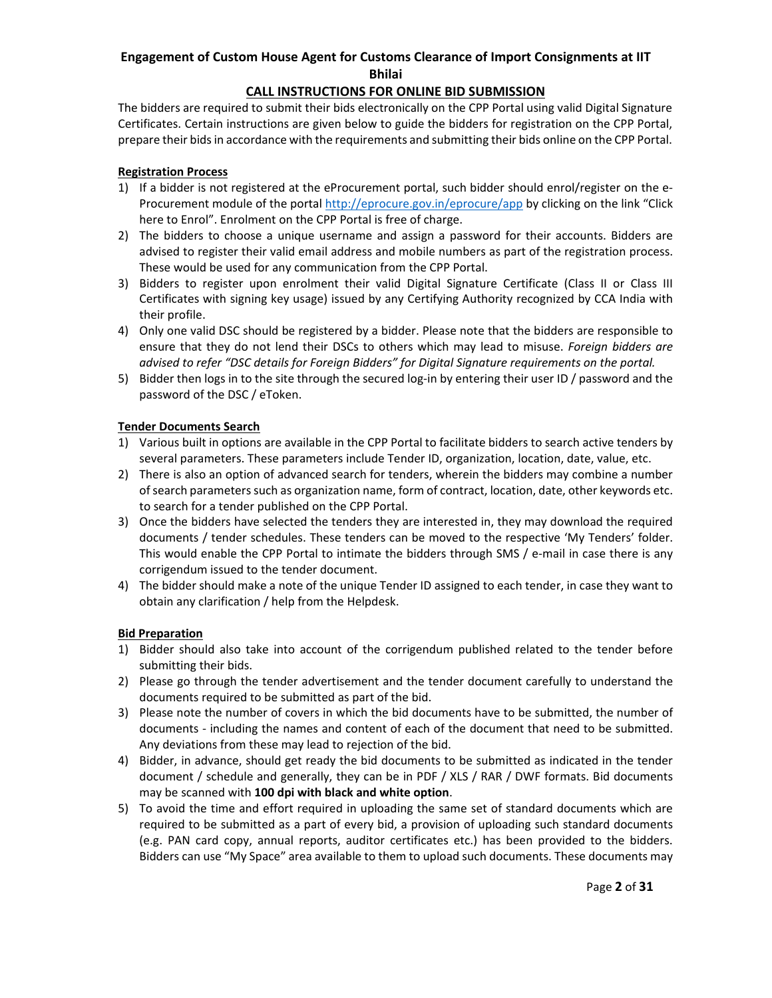### **CALL INSTRUCTIONS FOR ONLINE BID SUBMISSION**

The bidders are required to submit their bids electronically on the CPP Portal using valid Digital Signature Certificates. Certain instructions are given below to guide the bidders for registration on the CPP Portal, prepare their bids in accordance with the requirements and submitting their bids online on the CPP Portal.

#### **Registration Process**

- 1) If a bidder is not registered at the eProcurement portal, such bidder should enrol/register on the e‐ Procurement module of the portal http://eprocure.gov.in/eprocure/app by clicking on the link "Click here to Enrol". Enrolment on the CPP Portal is free of charge.
- 2) The bidders to choose a unique username and assign a password for their accounts. Bidders are advised to register their valid email address and mobile numbers as part of the registration process. These would be used for any communication from the CPP Portal.
- 3) Bidders to register upon enrolment their valid Digital Signature Certificate (Class II or Class III Certificates with signing key usage) issued by any Certifying Authority recognized by CCA India with their profile.
- 4) Only one valid DSC should be registered by a bidder. Please note that the bidders are responsible to ensure that they do not lend their DSCs to others which may lead to misuse. *Foreign bidders are advised to refer "DSC details for Foreign Bidders" for Digital Signature requirements on the portal.*
- 5) Bidder then logs in to the site through the secured log-in by entering their user ID / password and the password of the DSC / eToken.

#### **Tender Documents Search**

- 1) Various built in options are available in the CPP Portal to facilitate bidders to search active tenders by several parameters. These parameters include Tender ID, organization, location, date, value, etc.
- 2) There is also an option of advanced search for tenders, wherein the bidders may combine a number of search parameters such as organization name, form of contract, location, date, other keywords etc. to search for a tender published on the CPP Portal.
- 3) Once the bidders have selected the tenders they are interested in, they may download the required documents / tender schedules. These tenders can be moved to the respective 'My Tenders' folder. This would enable the CPP Portal to intimate the bidders through SMS / e-mail in case there is any corrigendum issued to the tender document.
- 4) The bidder should make a note of the unique Tender ID assigned to each tender, in case they want to obtain any clarification / help from the Helpdesk.

#### **Bid Preparation**

- 1) Bidder should also take into account of the corrigendum published related to the tender before submitting their bids.
- 2) Please go through the tender advertisement and the tender document carefully to understand the documents required to be submitted as part of the bid.
- 3) Please note the number of covers in which the bid documents have to be submitted, the number of documents ‐ including the names and content of each of the document that need to be submitted. Any deviations from these may lead to rejection of the bid.
- 4) Bidder, in advance, should get ready the bid documents to be submitted as indicated in the tender document / schedule and generally, they can be in PDF / XLS / RAR / DWF formats. Bid documents may be scanned with **100 dpi with black and white option**.
- 5) To avoid the time and effort required in uploading the same set of standard documents which are required to be submitted as a part of every bid, a provision of uploading such standard documents (e.g. PAN card copy, annual reports, auditor certificates etc.) has been provided to the bidders. Bidders can use "My Space" area available to them to upload such documents. These documents may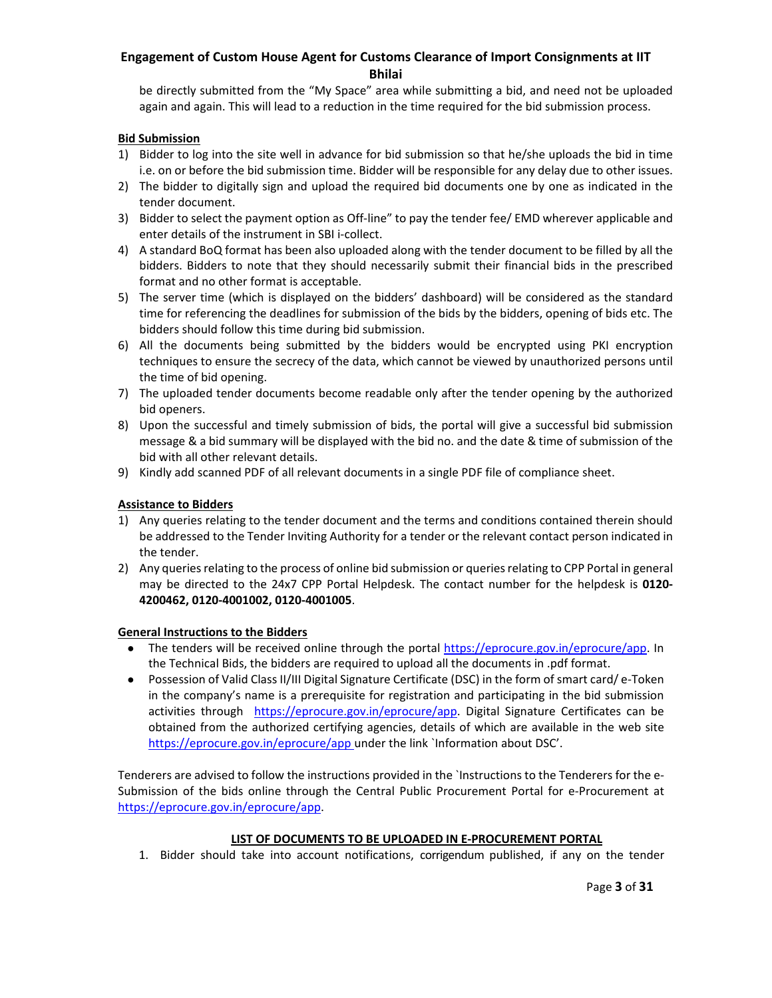be directly submitted from the "My Space" area while submitting a bid, and need not be uploaded again and again. This will lead to a reduction in the time required for the bid submission process.

#### **Bid Submission**

- 1) Bidder to log into the site well in advance for bid submission so that he/she uploads the bid in time i.e. on or before the bid submission time. Bidder will be responsible for any delay due to other issues.
- 2) The bidder to digitally sign and upload the required bid documents one by one as indicated in the tender document.
- 3) Bidder to select the payment option as Off-line" to pay the tender fee/ EMD wherever applicable and enter details of the instrument in SBI i‐collect.
- 4) A standard BoQ format has been also uploaded along with the tender document to be filled by all the bidders. Bidders to note that they should necessarily submit their financial bids in the prescribed format and no other format is acceptable.
- 5) The server time (which is displayed on the bidders' dashboard) will be considered as the standard time for referencing the deadlines for submission of the bids by the bidders, opening of bids etc. The bidders should follow this time during bid submission.
- 6) All the documents being submitted by the bidders would be encrypted using PKI encryption techniques to ensure the secrecy of the data, which cannot be viewed by unauthorized persons until the time of bid opening.
- 7) The uploaded tender documents become readable only after the tender opening by the authorized bid openers.
- 8) Upon the successful and timely submission of bids, the portal will give a successful bid submission message & a bid summary will be displayed with the bid no. and the date & time of submission of the bid with all other relevant details.
- 9) Kindly add scanned PDF of all relevant documents in a single PDF file of compliance sheet.

#### **Assistance to Bidders**

- 1) Any queries relating to the tender document and the terms and conditions contained therein should be addressed to the Tender Inviting Authority for a tender or the relevant contact person indicated in the tender.
- 2) Any queries relating to the process of online bid submission or queries relating to CPP Portal in general may be directed to the 24x7 CPP Portal Helpdesk. The contact number for the helpdesk is **0120‐ 4200462, 0120‐4001002, 0120‐4001005**.

#### **General Instructions to the Bidders**

- The tenders will be received online through the portal https://eprocure.gov.in/eprocure/app. In the Technical Bids, the bidders are required to upload all the documents in .pdf format.
- Possession of Valid Class II/III Digital Signature Certificate (DSC) in the form of smart card/ e-Token in the company's name is a prerequisite for registration and participating in the bid submission activities through https://eprocure.gov.in/eprocure/app. Digital Signature Certificates can be obtained from the authorized certifying agencies, details of which are available in the web site https://eprocure.gov.in/eprocure/app under the link `Information about DSC'.

Tenderers are advised to follow the instructions provided in the `Instructions to the Tenderers for the e‐ Submission of the bids online through the Central Public Procurement Portal for e-Procurement at https://eprocure.gov.in/eprocure/app.

#### **LIST OF DOCUMENTS TO BE UPLOADED IN E‐PROCUREMENT PORTAL**

1. Bidder should take into account notifications, corrigendum published, if any on the tender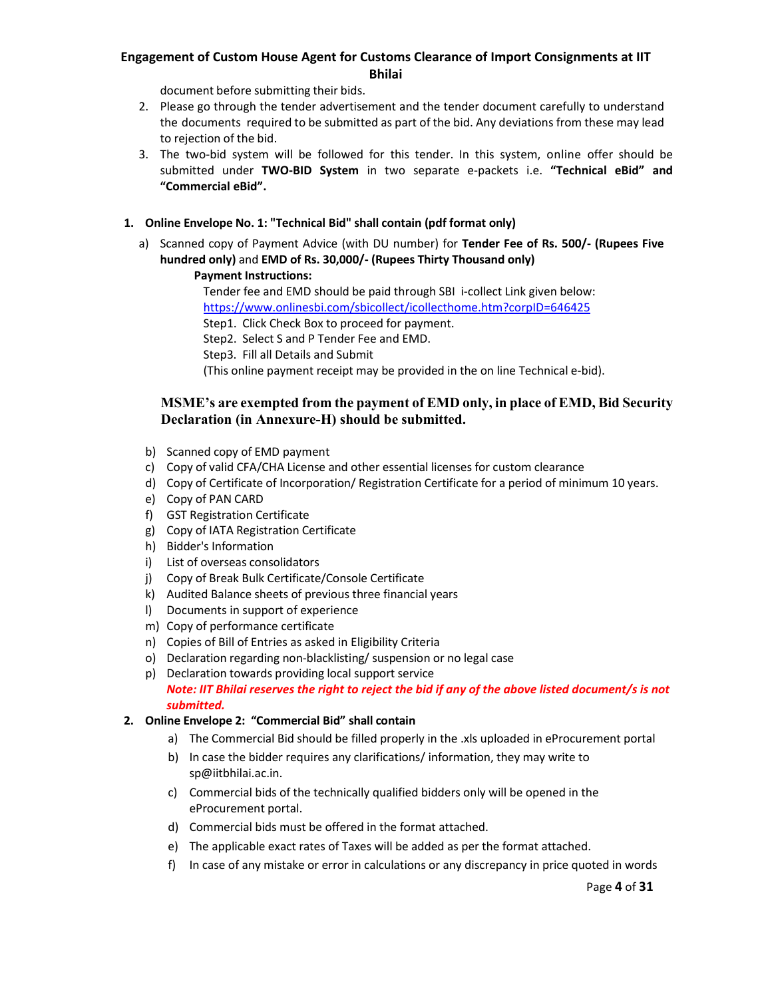document before submitting their bids.

- 2. Please go through the tender advertisement and the tender document carefully to understand the documents required to be submitted as part of the bid. Any deviations from these may lead to rejection of the bid.
- 3. The two-bid system will be followed for this tender. In this system, online offer should be submitted under **TWO‐BID System** in two separate e‐packets i.e. **"Technical eBid" and "Commercial eBid".**

### **1. Online Envelope No. 1: "Technical Bid" shall contain (pdf format only)**

a) Scanned copy of Payment Advice (with DU number) for **Tender Fee of Rs. 500/‐ (Rupees Five hundred only)** and **EMD of Rs. 30,000/‐ (Rupees Thirty Thousand only)**

### **Payment Instructions:**

Tender fee and EMD should be paid through SBI i‐collect Link given below: https://www.onlinesbi.com/sbicollect/icollecthome.htm?corpID=646425 Step1. Click Check Box to proceed for payment.

Step2. Select S and P Tender Fee and EMD.

Step3. Fill all Details and Submit

(This online payment receipt may be provided in the on line Technical e‐bid).

#### **MSME's are exempted from the payment of EMD only, in place of EMD, Bid Security Declaration (in Annexure-H) should be submitted.**

- b) Scanned copy of EMD payment
- c) Copy of valid CFA/CHA License and other essential licenses for custom clearance
- d) Copy of Certificate of Incorporation/ Registration Certificate for a period of minimum 10 years.
- e) Copy of PAN CARD
- f) GST Registration Certificate
- g) Copy of IATA Registration Certificate
- h) Bidder's Information
- i) List of overseas consolidators
- j) Copy of Break Bulk Certificate/Console Certificate
- k) Audited Balance sheets of previous three financial years
- l) Documents in support of experience
- m) Copy of performance certificate
- n) Copies of Bill of Entries as asked in Eligibility Criteria
- o) Declaration regarding non‐blacklisting/ suspension or no legal case
- p) Declaration towards providing local support service *Note: IIT Bhilai reserves the right to reject the bid if any of the above listed document/s is not submitted.*

### **2. Online Envelope 2: "Commercial Bid" shall contain**

- a) The Commercial Bid should be filled properly in the .xls uploaded in eProcurement portal
- b) In case the bidder requires any clarifications/ information, they may write to sp@iitbhilai.ac.in.
- c) Commercial bids of the technically qualified bidders only will be opened in the eProcurement portal.
- d) Commercial bids must be offered in the format attached.
- e) The applicable exact rates of Taxes will be added as per the format attached.
- f) In case of any mistake or error in calculations or any discrepancy in price quoted in words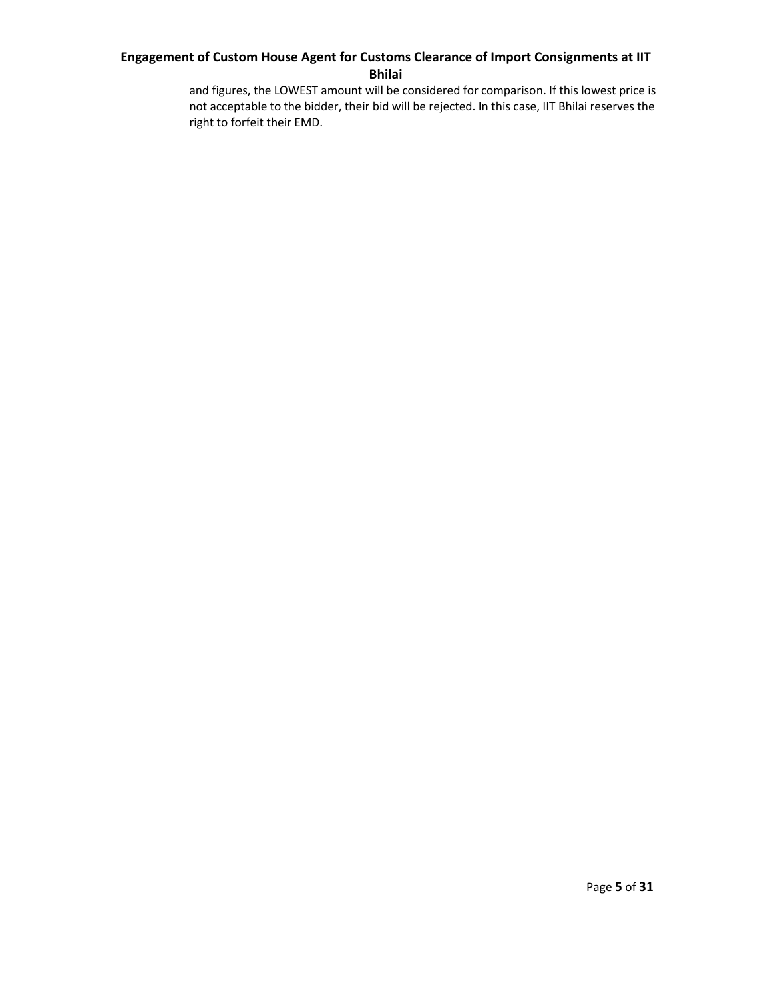and figures, the LOWEST amount will be considered for comparison. If this lowest price is not acceptable to the bidder, their bid will be rejected. In this case, IIT Bhilai reserves the right to forfeit their EMD.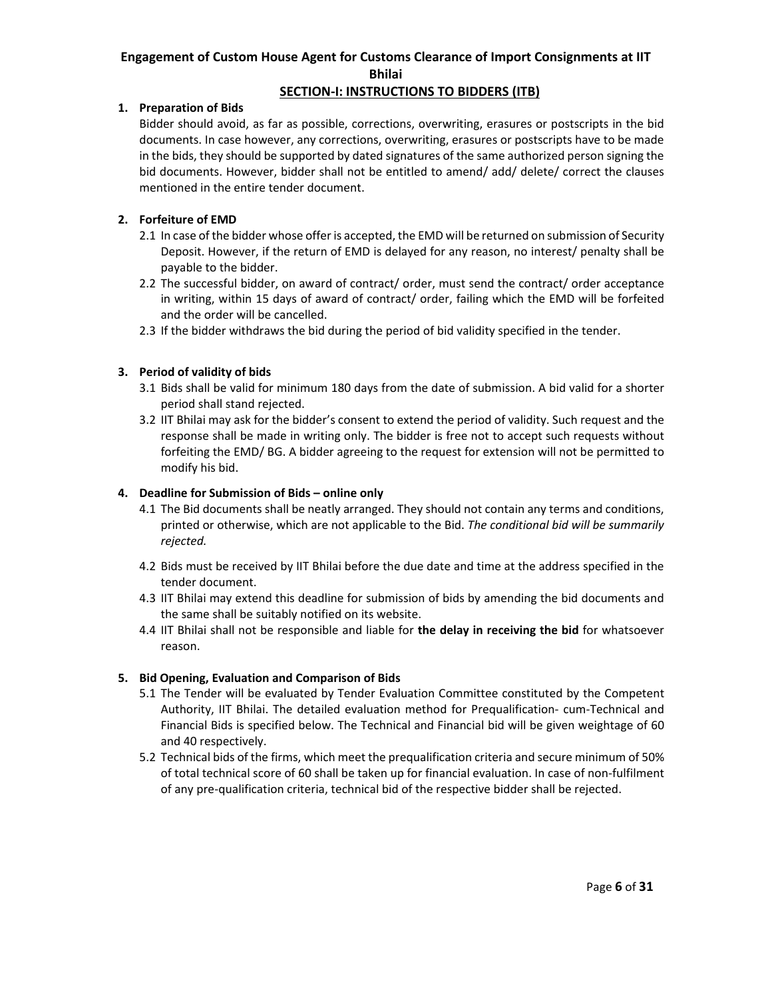### **SECTION‐I: INSTRUCTIONS TO BIDDERS (ITB)**

### **1. Preparation of Bids**

Bidder should avoid, as far as possible, corrections, overwriting, erasures or postscripts in the bid documents. In case however, any corrections, overwriting, erasures or postscripts have to be made in the bids, they should be supported by dated signatures of the same authorized person signing the bid documents. However, bidder shall not be entitled to amend/ add/ delete/ correct the clauses mentioned in the entire tender document.

### **2. Forfeiture of EMD**

- 2.1 In case of the bidder whose offer is accepted, the EMD will be returned on submission of Security Deposit. However, if the return of EMD is delayed for any reason, no interest/ penalty shall be payable to the bidder.
- 2.2 The successful bidder, on award of contract/ order, must send the contract/ order acceptance in writing, within 15 days of award of contract/ order, failing which the EMD will be forfeited and the order will be cancelled.
- 2.3 If the bidder withdraws the bid during the period of bid validity specified in the tender.

## **3. Period of validity of bids**

- 3.1 Bids shall be valid for minimum 180 days from the date of submission. A bid valid for a shorter period shall stand rejected.
- 3.2 IIT Bhilai may ask for the bidder's consent to extend the period of validity. Such request and the response shall be made in writing only. The bidder is free not to accept such requests without forfeiting the EMD/ BG. A bidder agreeing to the request for extension will not be permitted to modify his bid.

### **4. Deadline for Submission of Bids – online only**

- 4.1 The Bid documents shall be neatly arranged. They should not contain any terms and conditions, printed or otherwise, which are not applicable to the Bid. *The conditional bid will be summarily rejected.*
- 4.2 Bids must be received by IIT Bhilai before the due date and time at the address specified in the tender document.
- 4.3 IIT Bhilai may extend this deadline for submission of bids by amending the bid documents and the same shall be suitably notified on its website.
- 4.4 IIT Bhilai shall not be responsible and liable for **the delay in receiving the bid** for whatsoever reason.

### **5. Bid Opening, Evaluation and Comparison of Bids**

- 5.1 The Tender will be evaluated by Tender Evaluation Committee constituted by the Competent Authority, IIT Bhilai. The detailed evaluation method for Prequalification-cum-Technical and Financial Bids is specified below. The Technical and Financial bid will be given weightage of 60 and 40 respectively.
- 5.2 Technical bids of the firms, which meet the prequalification criteria and secure minimum of 50% of total technical score of 60 shall be taken up for financial evaluation. In case of non‐fulfilment of any pre‐qualification criteria, technical bid of the respective bidder shall be rejected.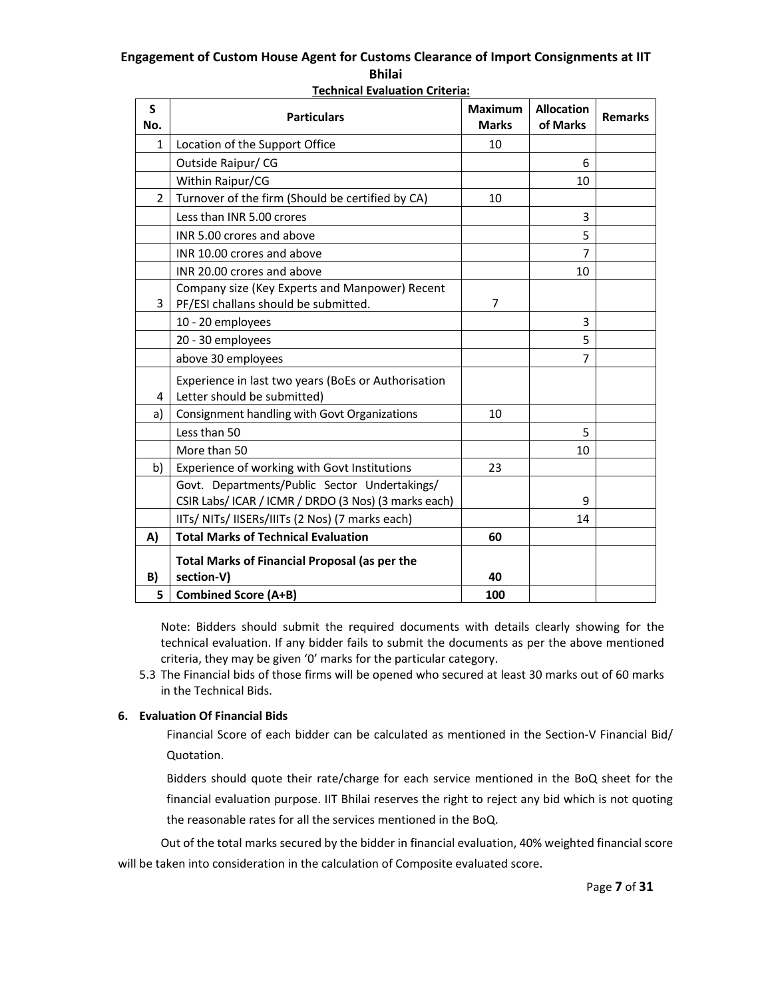| S<br>No.       | <b>Particulars</b>                                                                 | <b>Maximum</b><br><b>Marks</b> | <b>Allocation</b><br>of Marks | <b>Remarks</b> |
|----------------|------------------------------------------------------------------------------------|--------------------------------|-------------------------------|----------------|
| $\mathbf{1}$   | Location of the Support Office                                                     | 10                             |                               |                |
|                | Outside Raipur/CG                                                                  |                                | 6                             |                |
|                | Within Raipur/CG                                                                   |                                | 10                            |                |
| $\overline{2}$ | Turnover of the firm (Should be certified by CA)                                   | 10                             |                               |                |
|                | Less than INR 5.00 crores                                                          |                                | 3                             |                |
|                | INR 5.00 crores and above                                                          |                                | 5                             |                |
|                | INR 10.00 crores and above                                                         |                                | $\overline{7}$                |                |
|                | INR 20.00 crores and above                                                         |                                | 10                            |                |
|                | Company size (Key Experts and Manpower) Recent                                     |                                |                               |                |
| 3              | PF/ESI challans should be submitted.                                               | 7                              |                               |                |
|                | 10 - 20 employees                                                                  |                                | 3                             |                |
|                | 20 - 30 employees                                                                  |                                | 5                             |                |
|                | above 30 employees                                                                 |                                | 7                             |                |
| 4              | Experience in last two years (BoEs or Authorisation<br>Letter should be submitted) |                                |                               |                |
| a)             | Consignment handling with Govt Organizations                                       | 10                             |                               |                |
|                | Less than 50                                                                       |                                | 5                             |                |
|                | More than 50                                                                       |                                | 10                            |                |
| b)             | Experience of working with Govt Institutions                                       | 23                             |                               |                |
|                | Govt. Departments/Public Sector Undertakings/                                      |                                |                               |                |
|                | CSIR Labs/ ICAR / ICMR / DRDO (3 Nos) (3 marks each)                               |                                | 9                             |                |
|                | IITs/ NITs/ IISERs/IIITs (2 Nos) (7 marks each)                                    |                                | 14                            |                |
| A)             | <b>Total Marks of Technical Evaluation</b>                                         | 60                             |                               |                |
|                | <b>Total Marks of Financial Proposal (as per the</b>                               |                                |                               |                |
| B)             | section-V)                                                                         | 40                             |                               |                |
| 5              | <b>Combined Score (A+B)</b>                                                        | 100                            |                               |                |

**Technical Evaluation Criteria:** 

Note: Bidders should submit the required documents with details clearly showing for the technical evaluation. If any bidder fails to submit the documents as per the above mentioned criteria, they may be given '0' marks for the particular category.

5.3 The Financial bids of those firms will be opened who secured at least 30 marks out of 60 marks in the Technical Bids.

### **6. Evaluation Of Financial Bids**

Financial Score of each bidder can be calculated as mentioned in the Section‐V Financial Bid/ Quotation.

Bidders should quote their rate/charge for each service mentioned in the BoQ sheet for the financial evaluation purpose. IIT Bhilai reserves the right to reject any bid which is not quoting the reasonable rates for all the services mentioned in the BoQ.

 Out of the total marks secured by the bidder in financial evaluation, 40% weighted financial score will be taken into consideration in the calculation of Composite evaluated score.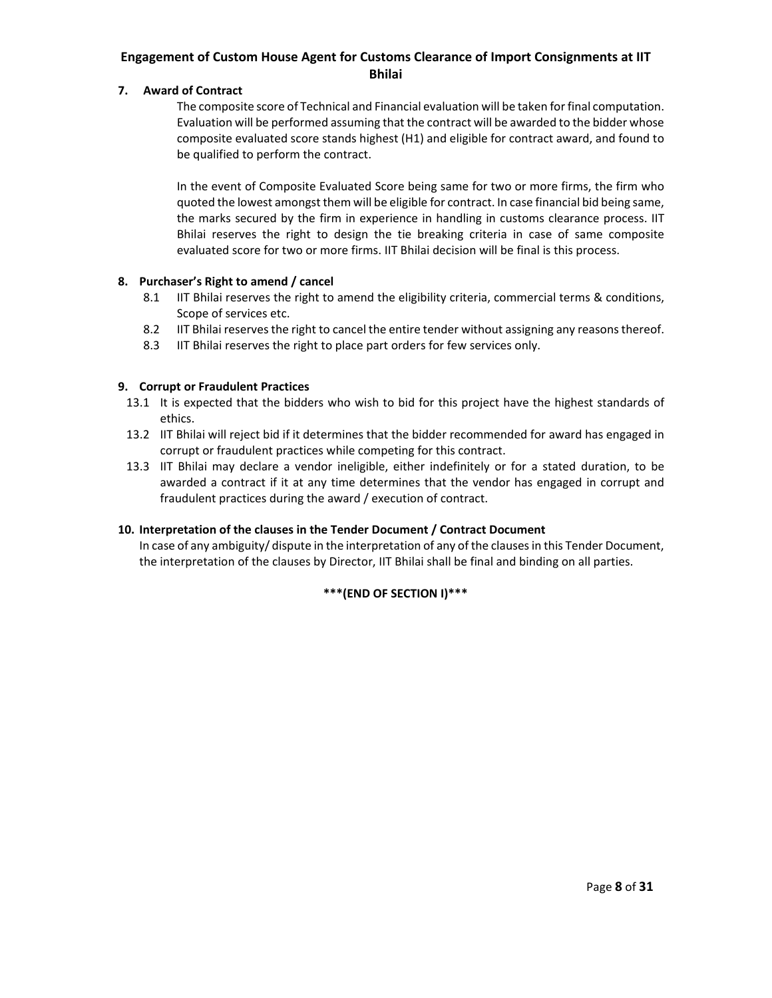#### **7. Award of Contract**

The composite score of Technical and Financial evaluation will be taken for final computation. Evaluation will be performed assuming that the contract will be awarded to the bidder whose composite evaluated score stands highest (H1) and eligible for contract award, and found to be qualified to perform the contract.

In the event of Composite Evaluated Score being same for two or more firms, the firm who quoted the lowest amongst them will be eligible for contract. In case financial bid being same, the marks secured by the firm in experience in handling in customs clearance process. IIT Bhilai reserves the right to design the tie breaking criteria in case of same composite evaluated score for two or more firms. IIT Bhilai decision will be final is this process.

#### **8. Purchaser's Right to amend / cancel**

- 8.1 IIT Bhilai reserves the right to amend the eligibility criteria, commercial terms & conditions, Scope of services etc.
- 8.2 IIT Bhilai reserves the right to cancel the entire tender without assigning any reasons thereof.
- 8.3 IIT Bhilai reserves the right to place part orders for few services only.

#### **9. Corrupt or Fraudulent Practices**

- 13.1 It is expected that the bidders who wish to bid for this project have the highest standards of ethics.
- 13.2 IIT Bhilai will reject bid if it determines that the bidder recommended for award has engaged in corrupt or fraudulent practices while competing for this contract.
- 13.3 IIT Bhilai may declare a vendor ineligible, either indefinitely or for a stated duration, to be awarded a contract if it at any time determines that the vendor has engaged in corrupt and fraudulent practices during the award / execution of contract.

#### **10. Interpretation of the clauses in the Tender Document / Contract Document**

In case of any ambiguity/ dispute in the interpretation of any of the clauses in this Tender Document, the interpretation of the clauses by Director, IIT Bhilai shall be final and binding on all parties.

### **\*\*\*(END OF SECTION I)\*\*\***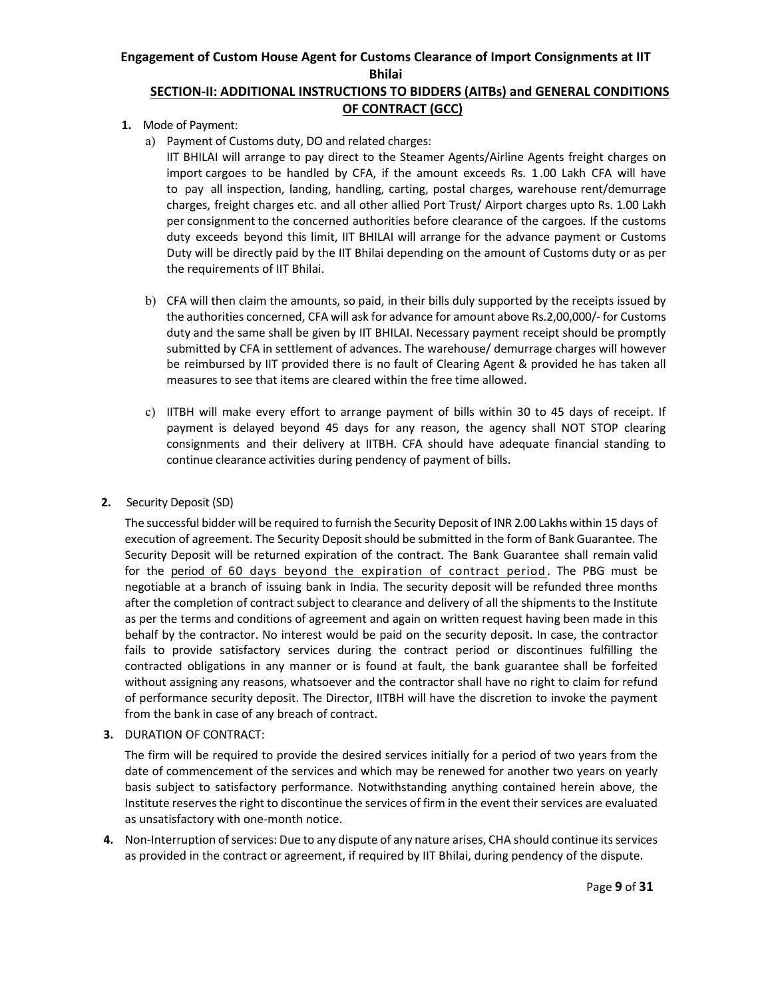### **SECTION‐II: ADDITIONAL INSTRUCTIONS TO BIDDERS (AITBs) and GENERAL CONDITIONS OF CONTRACT (GCC)**

- **1.** Mode of Payment:
	- a) Payment of Customs duty, DO and related charges:

IIT BHILAI will arrange to pay direct to the Steamer Agents/Airline Agents freight charges on import cargoes to be handled by CFA, if the amount exceeds Rs. 1 .00 Lakh CFA will have to pay all inspection, landing, handling, carting, postal charges, warehouse rent/demurrage charges, freight charges etc. and all other allied Port Trust/ Airport charges upto Rs. 1.00 Lakh per consignment to the concerned authorities before clearance of the cargoes. If the customs duty exceeds beyond this limit, IIT BHILAI will arrange for the advance payment or Customs Duty will be directly paid by the IIT Bhilai depending on the amount of Customs duty or as per the requirements of IIT Bhilai.

- b) CFA will then claim the amounts, so paid, in their bills duly supported by the receipts issued by the authorities concerned, CFA will ask for advance for amount above Rs.2,00,000/‐ for Customs duty and the same shall be given by IIT BHILAI. Necessary payment receipt should be promptly submitted by CFA in settlement of advances. The warehouse/ demurrage charges will however be reimbursed by IIT provided there is no fault of Clearing Agent & provided he has taken all measures to see that items are cleared within the free time allowed.
- c) IITBH will make every effort to arrange payment of bills within 30 to 45 days of receipt. If payment is delayed beyond 45 days for any reason, the agency shall NOT STOP clearing consignments and their delivery at IITBH. CFA should have adequate financial standing to continue clearance activities during pendency of payment of bills.

#### **2.** Security Deposit (SD)

The successful bidder will be required to furnish the Security Deposit of INR 2.00 Lakhs within 15 days of execution of agreement. The Security Deposit should be submitted in the form of Bank Guarantee. The Security Deposit will be returned expiration of the contract. The Bank Guarantee shall remain valid for the period of 60 days beyond the expiration of contract period. The PBG must be negotiable at a branch of issuing bank in India. The security deposit will be refunded three months after the completion of contract subject to clearance and delivery of all the shipments to the Institute as per the terms and conditions of agreement and again on written request having been made in this behalf by the contractor. No interest would be paid on the security deposit. In case, the contractor fails to provide satisfactory services during the contract period or discontinues fulfilling the contracted obligations in any manner or is found at fault, the bank guarantee shall be forfeited without assigning any reasons, whatsoever and the contractor shall have no right to claim for refund of performance security deposit. The Director, IITBH will have the discretion to invoke the payment from the bank in case of any breach of contract.

**3.** DURATION OF CONTRACT:

The firm will be required to provide the desired services initially for a period of two years from the date of commencement of the services and which may be renewed for another two years on yearly basis subject to satisfactory performance. Notwithstanding anything contained herein above, the Institute reserves the right to discontinue the services of firm in the event their services are evaluated as unsatisfactory with one‐month notice.

**4.** Non‐Interruption of services: Due to any dispute of any nature arises, CHA should continue its services as provided in the contract or agreement, if required by IIT Bhilai, during pendency of the dispute.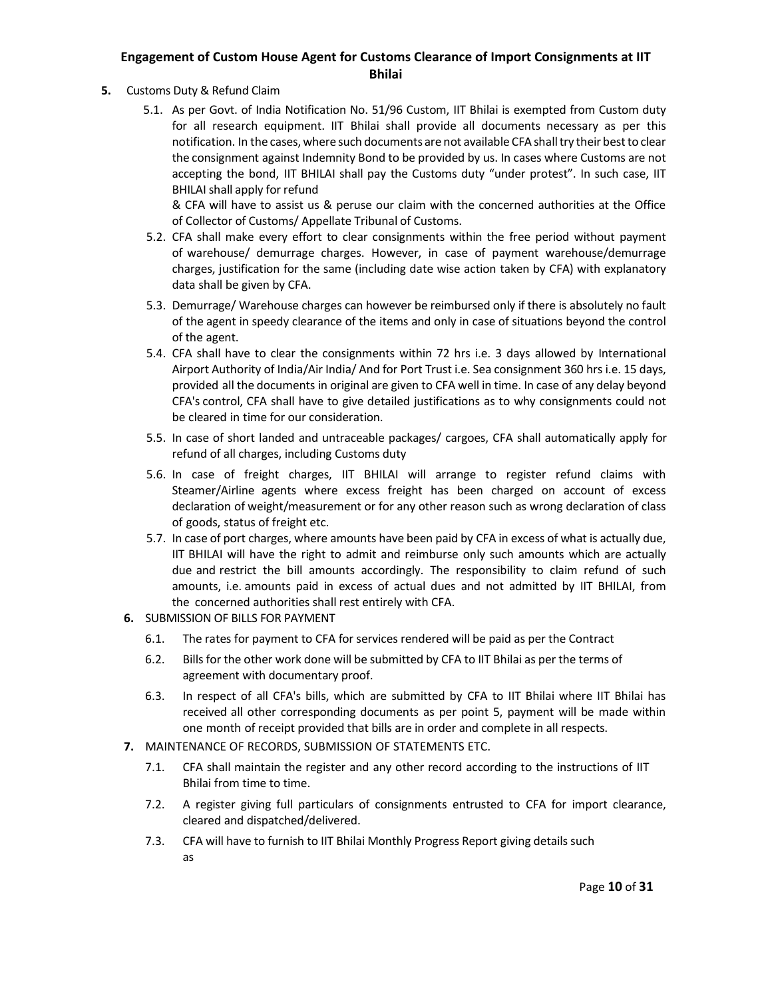- **5.** Customs Duty & Refund Claim
	- 5.1. As per Govt. of India Notification No. 51/96 Custom, IIT Bhilai is exempted from Custom duty for all research equipment. IIT Bhilai shall provide all documents necessary as per this notification. In the cases, where such documents are not available CFA shall try their best to clear the consignment against Indemnity Bond to be provided by us. In cases where Customs are not accepting the bond, IIT BHILAI shall pay the Customs duty "under protest". In such case, IIT BHILAI shall apply for refund

& CFA will have to assist us & peruse our claim with the concerned authorities at the Office of Collector of Customs/ Appellate Tribunal of Customs.

- 5.2. CFA shall make every effort to clear consignments within the free period without payment of warehouse/ demurrage charges. However, in case of payment warehouse/demurrage charges, justification for the same (including date wise action taken by CFA) with explanatory data shall be given by CFA.
- 5.3. Demurrage/ Warehouse charges can however be reimbursed only if there is absolutely no fault of the agent in speedy clearance of the items and only in case of situations beyond the control of the agent.
- 5.4. CFA shall have to clear the consignments within 72 hrs i.e. 3 days allowed by International Airport Authority of India/Air India/ And for Port Trust i.e. Sea consignment 360 hrs i.e. 15 days, provided all the documents in original are given to CFA well in time. In case of any delay beyond CFA's control, CFA shall have to give detailed justifications as to why consignments could not be cleared in time for our consideration.
- 5.5. In case of short landed and untraceable packages/ cargoes, CFA shall automatically apply for refund of all charges, including Customs duty
- 5.6. In case of freight charges, IIT BHILAI will arrange to register refund claims with Steamer/Airline agents where excess freight has been charged on account of excess declaration of weight/measurement or for any other reason such as wrong declaration of class of goods, status of freight etc.
- 5.7. In case of port charges, where amounts have been paid by CFA in excess of what is actually due, IIT BHILAI will have the right to admit and reimburse only such amounts which are actually due and restrict the bill amounts accordingly. The responsibility to claim refund of such amounts, i.e. amounts paid in excess of actual dues and not admitted by IIT BHILAI, from the concerned authorities shall rest entirely with CFA.
- **6.** SUBMISSION OF BILLS FOR PAYMENT
	- 6.1. The rates for payment to CFA for services rendered will be paid as per the Contract
	- 6.2. Bills for the other work done will be submitted by CFA to IIT Bhilai as per the terms of agreement with documentary proof.
	- 6.3. In respect of all CFA's bills, which are submitted by CFA to IIT Bhilai where IIT Bhilai has received all other corresponding documents as per point 5, payment will be made within one month of receipt provided that bills are in order and complete in all respects.
- **7.** MAINTENANCE OF RECORDS, SUBMISSION OF STATEMENTS ETC.
	- 7.1. CFA shall maintain the register and any other record according to the instructions of IIT Bhilai from time to time.
	- 7.2. A register giving full particulars of consignments entrusted to CFA for import clearance, cleared and dispatched/delivered.
	- 7.3. CFA will have to furnish to IIT Bhilai Monthly Progress Report giving details such as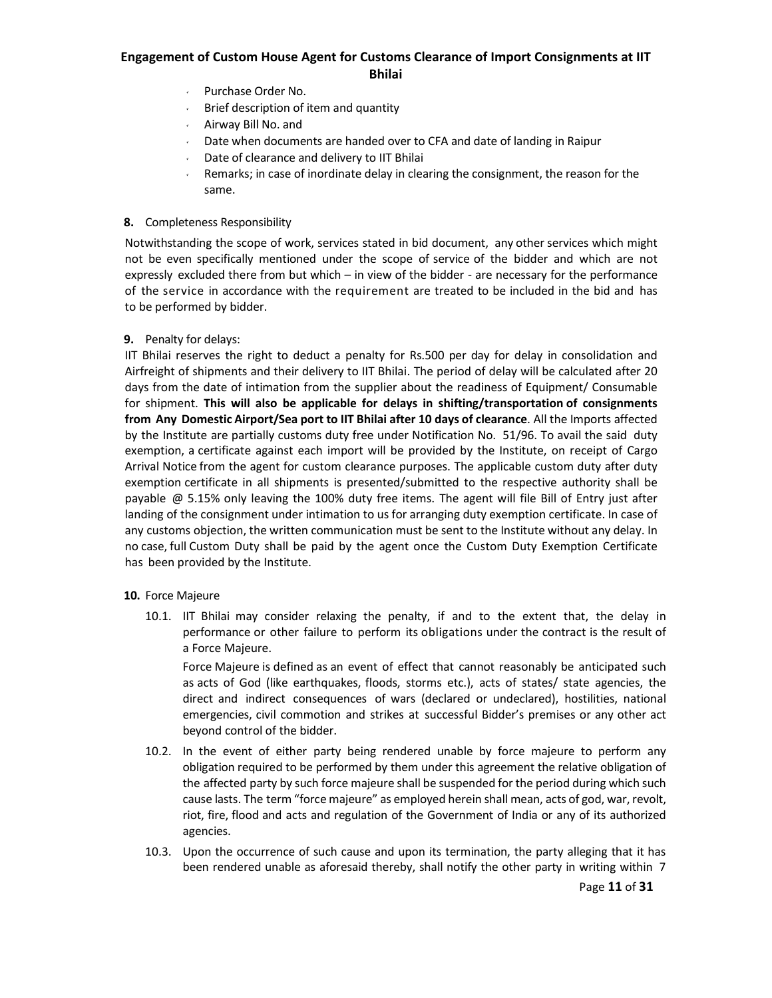- Purchase Order No.
- $\sqrt{ }$  Brief description of item and quantity
- Airway Bill No. and
- $\sim$  Date when documents are handed over to CFA and date of landing in Raipur
- Date of clearance and delivery to IIT Bhilai
- Remarks; in case of inordinate delay in clearing the consignment, the reason for the same.

#### **8.** Completeness Responsibility

Notwithstanding the scope of work, services stated in bid document, any other services which might not be even specifically mentioned under the scope of service of the bidder and which are not expressly excluded there from but which – in view of the bidder - are necessary for the performance of the service in accordance with the requirement are treated to be included in the bid and has to be performed by bidder.

#### **9.** Penalty for delays:

IIT Bhilai reserves the right to deduct a penalty for Rs.500 per day for delay in consolidation and Airfreight of shipments and their delivery to IIT Bhilai. The period of delay will be calculated after 20 days from the date of intimation from the supplier about the readiness of Equipment/ Consumable for shipment. **This will also be applicable for delays in shifting/transportation of consignments from Any Domestic Airport/Sea port to IIT Bhilai after 10 days of clearance**. All the Imports affected by the Institute are partially customs duty free under Notification No. 51/96. To avail the said duty exemption, a certificate against each import will be provided by the Institute, on receipt of Cargo Arrival Notice from the agent for custom clearance purposes. The applicable custom duty after duty exemption certificate in all shipments is presented/submitted to the respective authority shall be payable @ 5.15% only leaving the 100% duty free items. The agent will file Bill of Entry just after landing of the consignment under intimation to us for arranging duty exemption certificate. In case of any customs objection, the written communication must be sent to the Institute without any delay. In no case, full Custom Duty shall be paid by the agent once the Custom Duty Exemption Certificate has been provided by the Institute.

#### **10.** Force Majeure

10.1. IIT Bhilai may consider relaxing the penalty, if and to the extent that, the delay in performance or other failure to perform its obligations under the contract is the result of a Force Majeure.

Force Majeure is defined as an event of effect that cannot reasonably be anticipated such as acts of God (like earthquakes, floods, storms etc.), acts of states/ state agencies, the direct and indirect consequences of wars (declared or undeclared), hostilities, national emergencies, civil commotion and strikes at successful Bidder's premises or any other act beyond control of the bidder.

- 10.2. In the event of either party being rendered unable by force majeure to perform any obligation required to be performed by them under this agreement the relative obligation of the affected party by such force majeure shall be suspended for the period during which such cause lasts. The term "force majeure" as employed herein shall mean, acts of god, war, revolt, riot, fire, flood and acts and regulation of the Government of India or any of its authorized agencies.
- 10.3. Upon the occurrence of such cause and upon its termination, the party alleging that it has been rendered unable as aforesaid thereby, shall notify the other party in writing within 7

Page **11** of **31**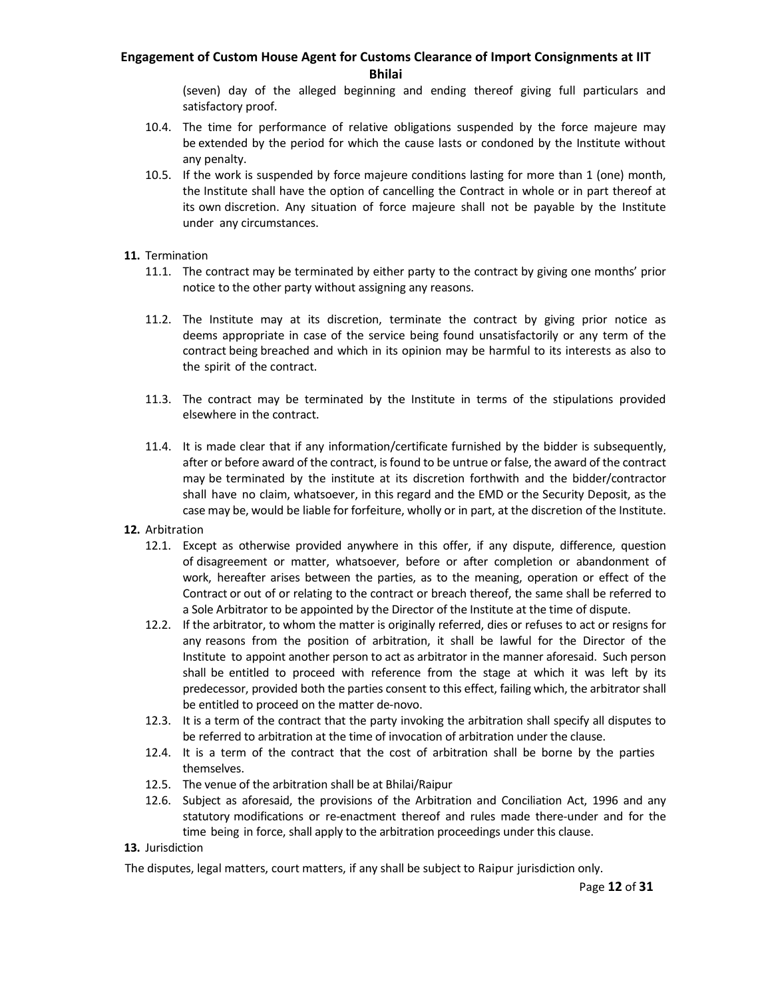(seven) day of the alleged beginning and ending thereof giving full particulars and satisfactory proof.

- 10.4. The time for performance of relative obligations suspended by the force majeure may be extended by the period for which the cause lasts or condoned by the Institute without any penalty.
- 10.5. If the work is suspended by force majeure conditions lasting for more than 1 (one) month, the Institute shall have the option of cancelling the Contract in whole or in part thereof at its own discretion. Any situation of force majeure shall not be payable by the Institute under any circumstances.

#### **11.** Termination

- 11.1. The contract may be terminated by either party to the contract by giving one months' prior notice to the other party without assigning any reasons.
- 11.2. The Institute may at its discretion, terminate the contract by giving prior notice as deems appropriate in case of the service being found unsatisfactorily or any term of the contract being breached and which in its opinion may be harmful to its interests as also to the spirit of the contract.
- 11.3. The contract may be terminated by the Institute in terms of the stipulations provided elsewhere in the contract.
- 11.4. It is made clear that if any information/certificate furnished by the bidder is subsequently, after or before award of the contract, is found to be untrue or false, the award of the contract may be terminated by the institute at its discretion forthwith and the bidder/contractor shall have no claim, whatsoever, in this regard and the EMD or the Security Deposit, as the case may be, would be liable for forfeiture, wholly or in part, at the discretion of the Institute.
- **12.** Arbitration
	- 12.1. Except as otherwise provided anywhere in this offer, if any dispute, difference, question of disagreement or matter, whatsoever, before or after completion or abandonment of work, hereafter arises between the parties, as to the meaning, operation or effect of the Contract or out of or relating to the contract or breach thereof, the same shall be referred to a Sole Arbitrator to be appointed by the Director of the Institute at the time of dispute.
	- 12.2. If the arbitrator, to whom the matter is originally referred, dies or refuses to act or resigns for any reasons from the position of arbitration, it shall be lawful for the Director of the Institute to appoint another person to act as arbitrator in the manner aforesaid. Such person shall be entitled to proceed with reference from the stage at which it was left by its predecessor, provided both the parties consent to this effect, failing which, the arbitrator shall be entitled to proceed on the matter de‐novo.
	- 12.3. It is a term of the contract that the party invoking the arbitration shall specify all disputes to be referred to arbitration at the time of invocation of arbitration under the clause.
	- 12.4. It is a term of the contract that the cost of arbitration shall be borne by the parties themselves.
	- 12.5. The venue of the arbitration shall be at Bhilai/Raipur
	- 12.6. Subject as aforesaid, the provisions of the Arbitration and Conciliation Act, 1996 and any statutory modifications or re-enactment thereof and rules made there-under and for the time being in force, shall apply to the arbitration proceedings under this clause.

#### **13.** Jurisdiction

The disputes, legal matters, court matters, if any shall be subject to Raipur jurisdiction only.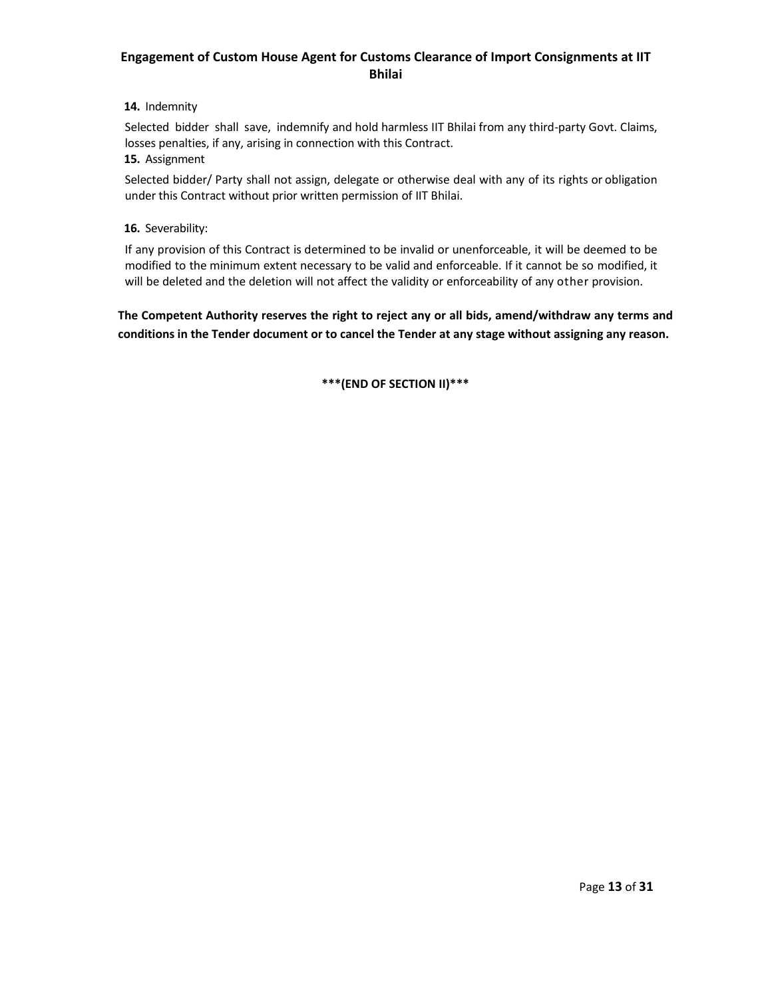### **14.** Indemnity

Selected bidder shall save, indemnify and hold harmless IIT Bhilai from any third-party Govt. Claims, losses penalties, if any, arising in connection with this Contract.

#### **15.** Assignment

Selected bidder/ Party shall not assign, delegate or otherwise deal with any of its rights or obligation under this Contract without prior written permission of IIT Bhilai.

#### **16.** Severability:

If any provision of this Contract is determined to be invalid or unenforceable, it will be deemed to be modified to the minimum extent necessary to be valid and enforceable. If it cannot be so modified, it will be deleted and the deletion will not affect the validity or enforceability of any other provision.

**The Competent Authority reserves the right to reject any or all bids, amend/withdraw any terms and conditions in the Tender document or to cancel the Tender at any stage without assigning any reason.**

**\*\*\*(END OF SECTION II)\*\*\***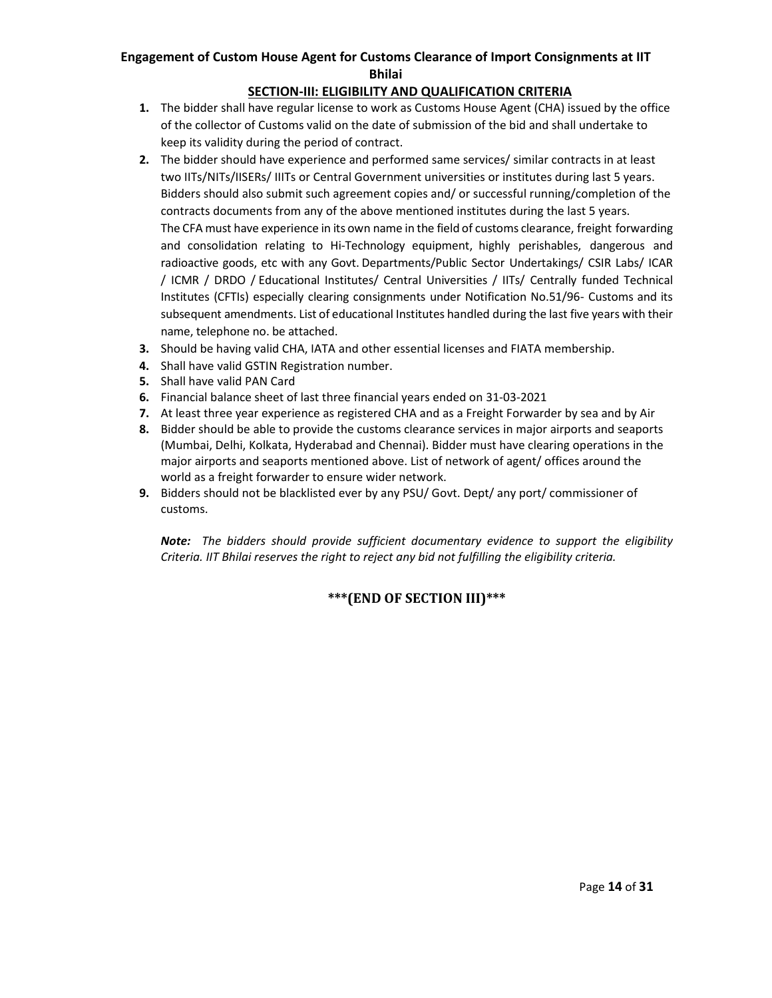### **SECTION‐III: ELIGIBILITY AND QUALIFICATION CRITERIA**

- **1.** The bidder shall have regular license to work as Customs House Agent (CHA) issued by the office of the collector of Customs valid on the date of submission of the bid and shall undertake to keep its validity during the period of contract.
- **2.** The bidder should have experience and performed same services/ similar contracts in at least two IITs/NITs/IISERs/ IIITs or Central Government universities or institutes during last 5 years. Bidders should also submit such agreement copies and/ or successful running/completion of the contracts documents from any of the above mentioned institutes during the last 5 years. The CFA must have experience in its own name in the field of customs clearance, freight forwarding and consolidation relating to Hi-Technology equipment, highly perishables, dangerous and radioactive goods, etc with any Govt. Departments/Public Sector Undertakings/ CSIR Labs/ ICAR / ICMR / DRDO / Educational Institutes/ Central Universities / IITs/ Centrally funded Technical Institutes (CFTIs) especially clearing consignments under Notification No.51/96‐ Customs and its subsequent amendments. List of educational Institutes handled during the last five years with their name, telephone no. be attached.
- **3.** Should be having valid CHA, IATA and other essential licenses and FIATA membership.
- **4.** Shall have valid GSTIN Registration number.
- **5.** Shall have valid PAN Card
- **6.** Financial balance sheet of last three financial years ended on 31‐03‐2021
- **7.** At least three year experience as registered CHA and as a Freight Forwarder by sea and by Air
- **8.** Bidder should be able to provide the customs clearance services in major airports and seaports (Mumbai, Delhi, Kolkata, Hyderabad and Chennai). Bidder must have clearing operations in the major airports and seaports mentioned above. List of network of agent/ offices around the world as a freight forwarder to ensure wider network.
- **9.** Bidders should not be blacklisted ever by any PSU/ Govt. Dept/ any port/ commissioner of customs.

*Note: The bidders should provide sufficient documentary evidence to support the eligibility Criteria. IIT Bhilai reserves the right to reject any bid not fulfilling the eligibility criteria.*

## **\*\*\*(END OF SECTION III)\*\*\***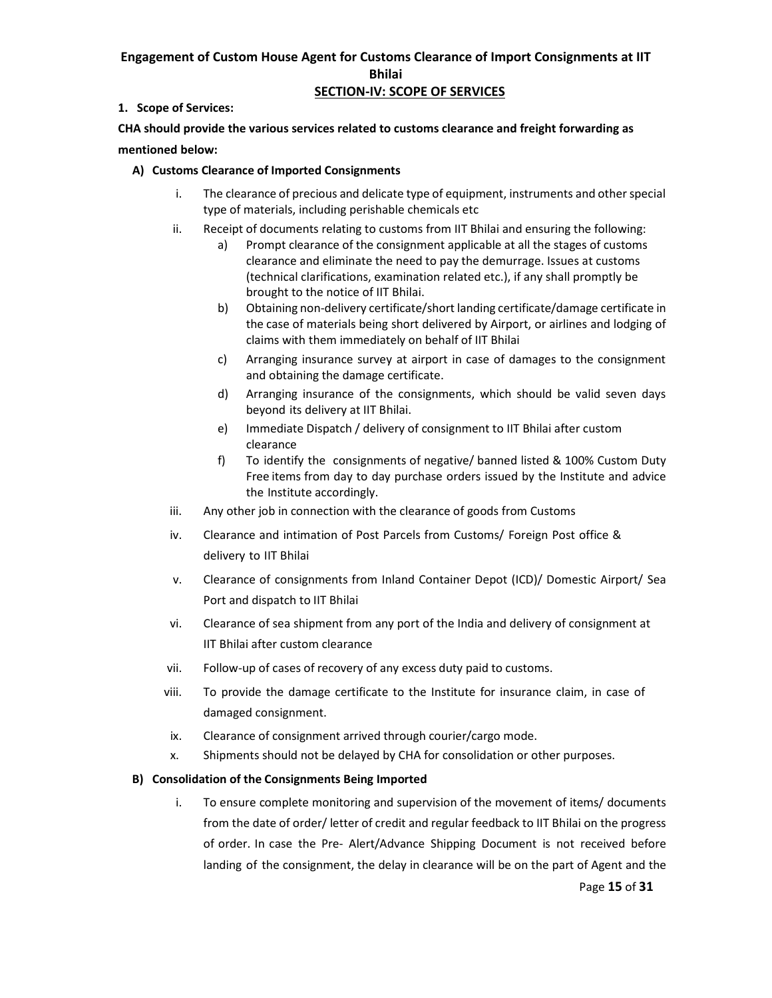### **SECTION‐IV: SCOPE OF SERVICES**

### **1. Scope of Services:**

**CHA should provide the various services related to customs clearance and freight forwarding as mentioned below:** 

#### **A) Customs Clearance of Imported Consignments**

- i. The clearance of precious and delicate type of equipment, instruments and other special type of materials, including perishable chemicals etc
- ii. Receipt of documents relating to customs from IIT Bhilai and ensuring the following:
	- a) Prompt clearance of the consignment applicable at all the stages of customs clearance and eliminate the need to pay the demurrage. Issues at customs (technical clarifications, examination related etc.), if any shall promptly be brought to the notice of IIT Bhilai.
	- b) Obtaining non‐delivery certificate/short landing certificate/damage certificate in the case of materials being short delivered by Airport, or airlines and lodging of claims with them immediately on behalf of IIT Bhilai
	- c) Arranging insurance survey at airport in case of damages to the consignment and obtaining the damage certificate.
	- d) Arranging insurance of the consignments, which should be valid seven days beyond its delivery at IIT Bhilai.
	- e) Immediate Dispatch / delivery of consignment to IIT Bhilai after custom clearance
	- f) To identify the consignments of negative/ banned listed & 100% Custom Duty Free items from day to day purchase orders issued by the Institute and advice the Institute accordingly.
- iii. Any other job in connection with the clearance of goods from Customs
- iv. Clearance and intimation of Post Parcels from Customs/ Foreign Post office & delivery to IIT Bhilai
- v. Clearance of consignments from Inland Container Depot (ICD)/ Domestic Airport/ Sea Port and dispatch to IIT Bhilai
- vi. Clearance of sea shipment from any port of the India and delivery of consignment at IIT Bhilai after custom clearance
- vii. Follow‐up of cases of recovery of any excess duty paid to customs.
- viii. To provide the damage certificate to the Institute for insurance claim, in case of damaged consignment.
- ix. Clearance of consignment arrived through courier/cargo mode.
- x. Shipments should not be delayed by CHA for consolidation or other purposes.

### **B) Consolidation of the Consignments Being Imported**

i. To ensure complete monitoring and supervision of the movement of items/ documents from the date of order/ letter of credit and regular feedback to IIT Bhilai on the progress of order. In case the Pre‐ Alert/Advance Shipping Document is not received before landing of the consignment, the delay in clearance will be on the part of Agent and the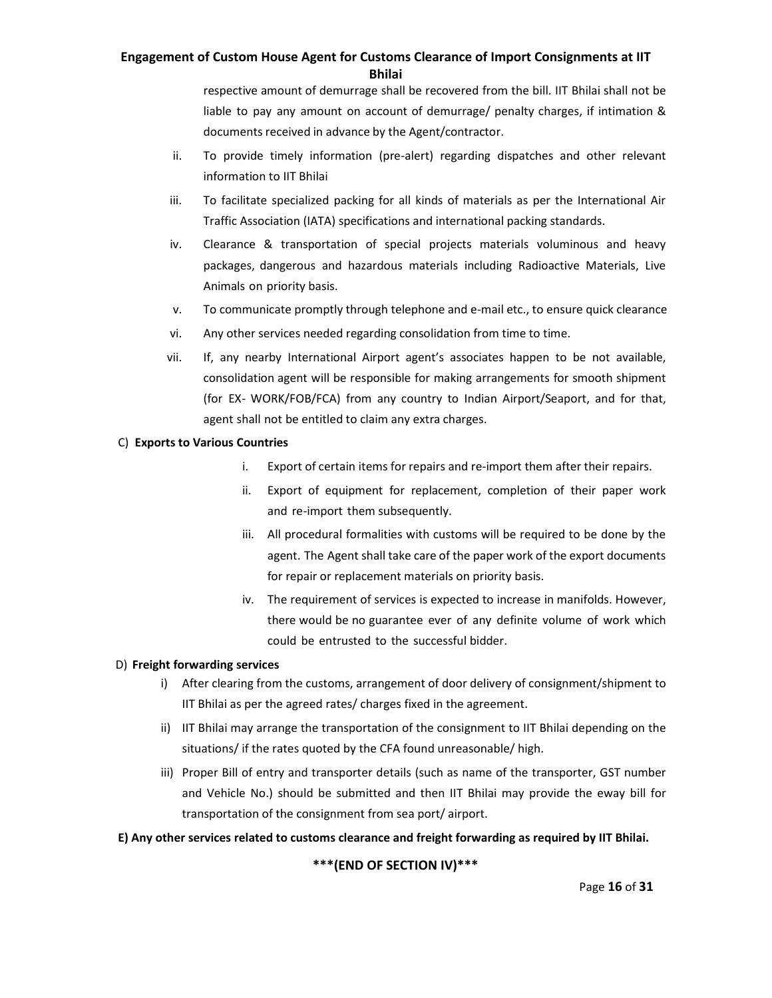respective amount of demurrage shall be recovered from the bill. IIT Bhilai shall not be liable to pay any amount on account of demurrage/ penalty charges, if intimation & documents received in advance by the Agent/contractor.

- ii. To provide timely information (pre-alert) regarding dispatches and other relevant information to IIT Bhilai
- iii. To facilitate specialized packing for all kinds of materials as per the International Air Traffic Association (IATA) specifications and international packing standards.
- iv. Clearance & transportation of special projects materials voluminous and heavy packages, dangerous and hazardous materials including Radioactive Materials, Live Animals on priority basis.
- v. To communicate promptly through telephone and e-mail etc., to ensure quick clearance
- vi. Any other services needed regarding consolidation from time to time.
- vii. If, any nearby International Airport agent's associates happen to be not available, consolidation agent will be responsible for making arrangements for smooth shipment (for EX‐ WORK/FOB/FCA) from any country to Indian Airport/Seaport, and for that, agent shall not be entitled to claim any extra charges.

#### C) **Exports to Various Countries**

- i. Export of certain items for repairs and re‐import them after their repairs.
- ii. Export of equipment for replacement, completion of their paper work and re-import them subsequently.
- iii. All procedural formalities with customs will be required to be done by the agent. The Agent shall take care of the paper work of the export documents for repair or replacement materials on priority basis.
- iv. The requirement of services is expected to increase in manifolds. However, there would be no guarantee ever of any definite volume of work which could be entrusted to the successful bidder.

### D) **Freight forwarding services**

- i) After clearing from the customs, arrangement of door delivery of consignment/shipment to IIT Bhilai as per the agreed rates/ charges fixed in the agreement.
- ii) IIT Bhilai may arrange the transportation of the consignment to IIT Bhilai depending on the situations/ if the rates quoted by the CFA found unreasonable/ high.
- iii) Proper Bill of entry and transporter details (such as name of the transporter, GST number and Vehicle No.) should be submitted and then IIT Bhilai may provide the eway bill for transportation of the consignment from sea port/ airport.

### **E) Any other services related to customs clearance and freight forwarding as required by IIT Bhilai.**

### **\*\*\*(END OF SECTION IV)\*\*\***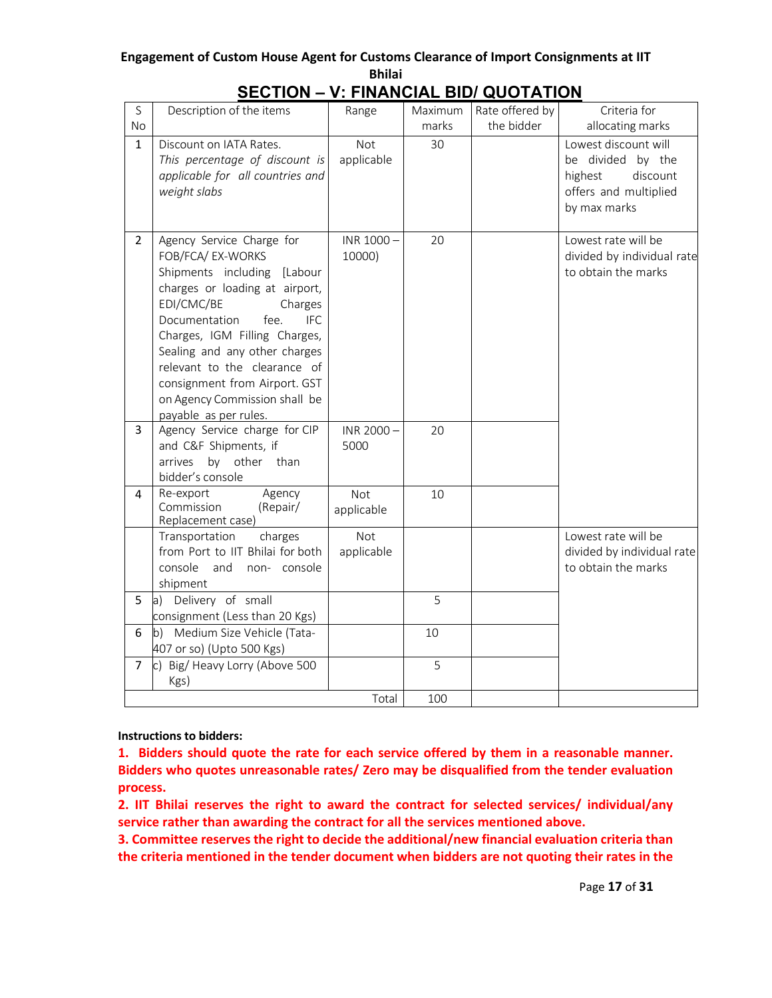| S<br>No        | Description of the items                                                                                                                                                                                                                                                                                                                                                     | Range                    | Maximum<br>marks | Rate offered by<br>the bidder | Criteria for<br>allocating marks                                                                          |
|----------------|------------------------------------------------------------------------------------------------------------------------------------------------------------------------------------------------------------------------------------------------------------------------------------------------------------------------------------------------------------------------------|--------------------------|------------------|-------------------------------|-----------------------------------------------------------------------------------------------------------|
| $\mathbf{1}$   | Discount on IATA Rates.<br>This percentage of discount is<br>applicable for all countries and<br>weight slabs                                                                                                                                                                                                                                                                | <b>Not</b><br>applicable | 30               |                               | Lowest discount will<br>be divided by the<br>discount<br>highest<br>offers and multiplied<br>by max marks |
| $\overline{2}$ | Agency Service Charge for<br>FOB/FCA/ EX-WORKS<br>Shipments including [Labour<br>charges or loading at airport,<br>EDI/CMC/BE<br>Charges<br>Documentation<br>fee.<br><b>IFC</b><br>Charges, IGM Filling Charges,<br>Sealing and any other charges<br>relevant to the clearance of<br>consignment from Airport. GST<br>on Agency Commission shall be<br>payable as per rules. | INR 1000-<br>10000)      | 20               |                               | Lowest rate will be<br>divided by individual rate<br>to obtain the marks                                  |
| 3              | Agency Service charge for CIP<br>and C&F Shipments, if<br>by other than<br>arrives<br>bidder's console                                                                                                                                                                                                                                                                       | INR 2000-<br>5000        | 20               |                               |                                                                                                           |
| 4              | Re-export<br>Agency<br>Commission<br>(Repair/<br>Replacement case)                                                                                                                                                                                                                                                                                                           | Not<br>applicable        | 10               |                               |                                                                                                           |
|                | Transportation<br>charges<br>from Port to IIT Bhilai for both<br>console<br>and<br>non-console<br>shipment                                                                                                                                                                                                                                                                   | Not<br>applicable        |                  |                               | Lowest rate will be<br>divided by individual rate<br>to obtain the marks                                  |
| 5              | a) Delivery of small<br>consignment (Less than 20 Kgs)                                                                                                                                                                                                                                                                                                                       |                          | 5                |                               |                                                                                                           |
| 6              | b) Medium Size Vehicle (Tata-<br>407 or so) (Upto 500 Kgs)                                                                                                                                                                                                                                                                                                                   |                          | 10               |                               |                                                                                                           |
| 7              | c) Big/Heavy Lorry (Above 500<br>Kgs)                                                                                                                                                                                                                                                                                                                                        |                          | 5                |                               |                                                                                                           |
|                |                                                                                                                                                                                                                                                                                                                                                                              | Total                    | 100              |                               |                                                                                                           |

# **SECTION – V: FINANCIAL BID/ QUOTATION**

### **Instructions to bidders:**

**1. Bidders should quote the rate for each service offered by them in a reasonable manner. Bidders who quotes unreasonable rates/ Zero may be disqualified from the tender evaluation process.** 

**2. IIT Bhilai reserves the right to award the contract for selected services/ individual/any service rather than awarding the contract for all the services mentioned above.** 

**3. Committee reserves the right to decide the additional/new financial evaluation criteria than the criteria mentioned in the tender document when bidders are not quoting their rates in the**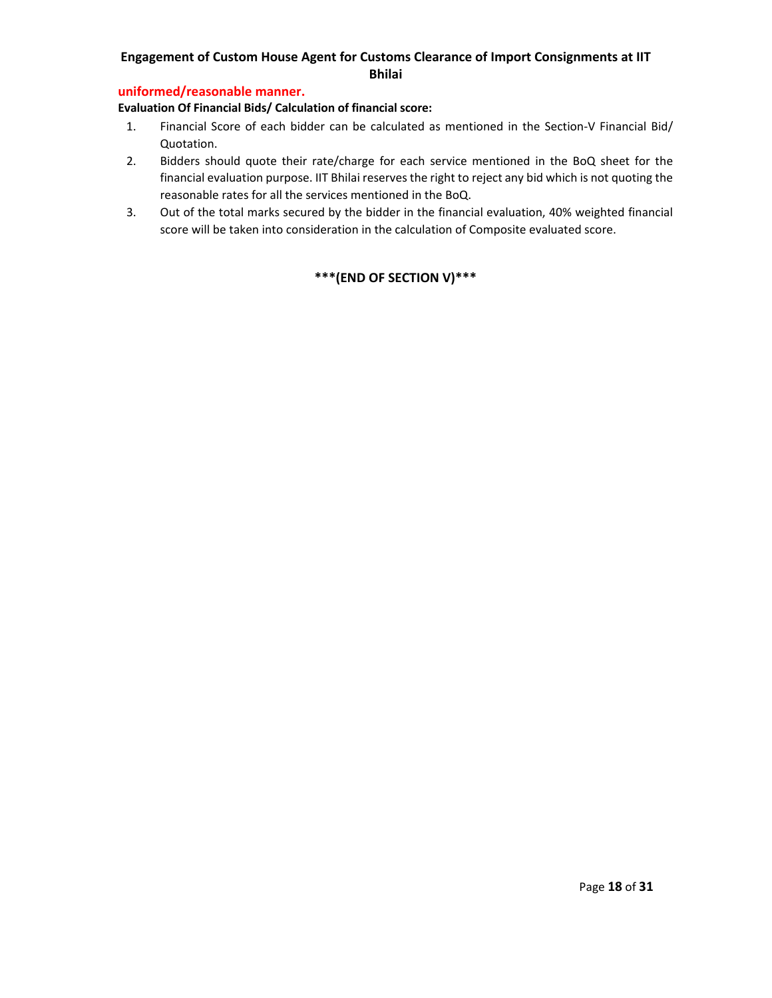### **uniformed/reasonable manner.**

**Evaluation Of Financial Bids/ Calculation of financial score:**

- 1. Financial Score of each bidder can be calculated as mentioned in the Section-V Financial Bid/ Quotation.
- 2. Bidders should quote their rate/charge for each service mentioned in the BoQ sheet for the financial evaluation purpose. IIT Bhilai reserves the right to reject any bid which is not quoting the reasonable rates for all the services mentioned in the BoQ.
- 3. Out of the total marks secured by the bidder in the financial evaluation, 40% weighted financial score will be taken into consideration in the calculation of Composite evaluated score.

## **\*\*\*(END OF SECTION V)\*\*\***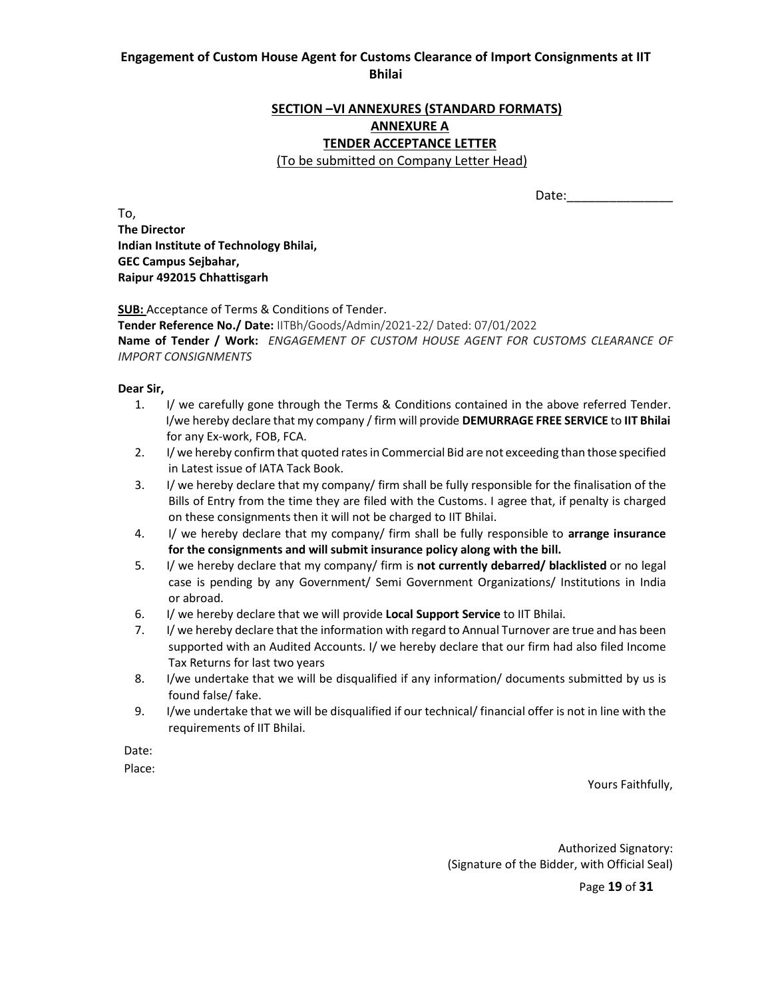### **SECTION –VI ANNEXURES (STANDARD FORMATS) ANNEXURE A TENDER ACCEPTANCE LETTER**

#### (To be submitted on Company Letter Head)

Date:

To, **The Director Indian Institute of Technology Bhilai, GEC Campus Sejbahar, Raipur 492015 Chhattisgarh**

#### **SUB:** Acceptance of Terms & Conditions of Tender.

**Tender Reference No./ Date:** IITBh/Goods/Admin/2021‐22/ Dated: 07/01/2022 **Name of Tender / Work:**   *ENGAGEMENT OF CUSTOM HOUSE AGENT FOR CUSTOMS CLEARANCE OF IMPORT CONSIGNMENTS*

#### **Dear Sir,**

- 1. I/ we carefully gone through the Terms & Conditions contained in the above referred Tender. I/we hereby declare that my company / firm will provide **DEMURRAGE FREE SERVICE** to **IIT Bhilai** for any Ex‐work, FOB, FCA.
- 2. I/ we hereby confirm that quoted rates in Commercial Bid are not exceeding than those specified in Latest issue of IATA Tack Book.
- 3. I/ we hereby declare that my company/ firm shall be fully responsible for the finalisation of the Bills of Entry from the time they are filed with the Customs. I agree that, if penalty is charged on these consignments then it will not be charged to IIT Bhilai.
- 4. I/ we hereby declare that my company/ firm shall be fully responsible to **arrange insurance for the consignments and will submit insurance policy along with the bill.**
- 5. I/ we hereby declare that my company/ firm is **not currently debarred/ blacklisted** or no legal case is pending by any Government/ Semi Government Organizations/ Institutions in India or abroad.
- 6. I/ we hereby declare that we will provide **Local Support Service** to IIT Bhilai.
- 7. I/ we hereby declare that the information with regard to Annual Turnover are true and has been supported with an Audited Accounts. I/ we hereby declare that our firm had also filed Income Tax Returns for last two years
- 8. I/we undertake that we will be disqualified if any information/ documents submitted by us is found false/ fake.
- 9. I/we undertake that we will be disqualified if our technical/ financial offer is not in line with the requirements of IIT Bhilai.

Date: when the contract of the contract of the contract of the contract of the contract of the contract of the contract of the contract of the contract of the contract of the contract of the contract of the contract of the

Place: The contract of the contract of the contract of the contract of the contract of the contract of the contract of the contract of the contract of the contract of the contract of the contract of the contract of the con

Yours Faithfully,

Authorized Signatory: (Signature of the Bidder, with Official Seal)

Page **19** of **31**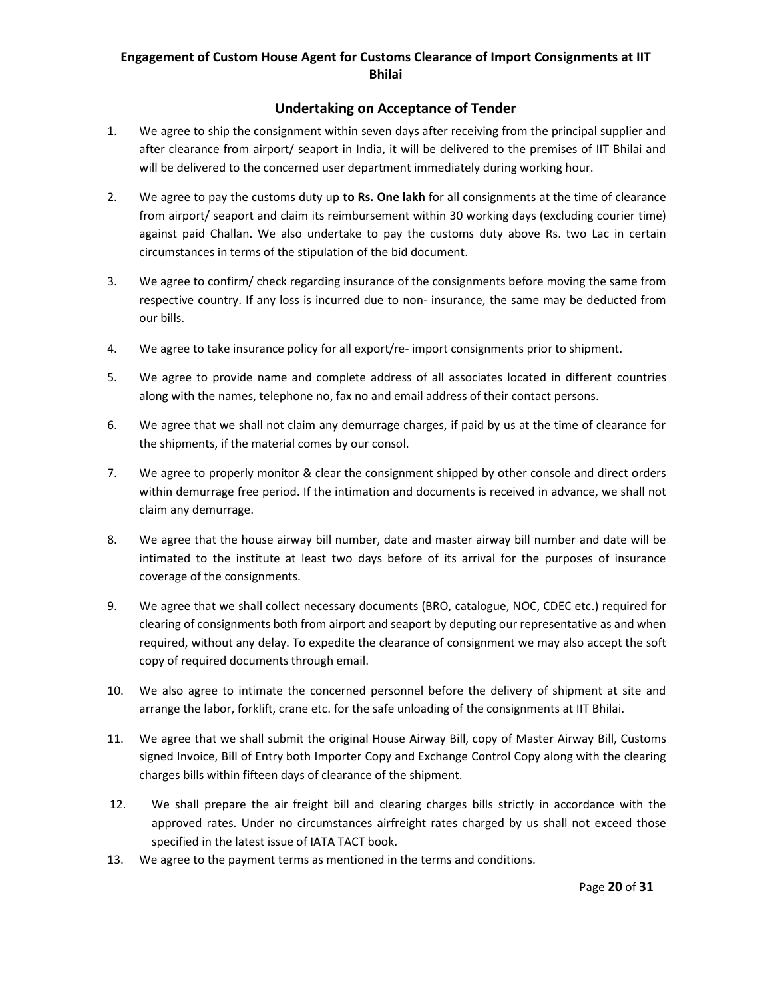### **Undertaking on Acceptance of Tender**

- 1. We agree to ship the consignment within seven days after receiving from the principal supplier and after clearance from airport/ seaport in India, it will be delivered to the premises of IIT Bhilai and will be delivered to the concerned user department immediately during working hour.
- 2. We agree to pay the customs duty up **to Rs. One lakh** for all consignments at the time of clearance from airport/ seaport and claim its reimbursement within 30 working days (excluding courier time) against paid Challan. We also undertake to pay the customs duty above Rs. two Lac in certain circumstances in terms of the stipulation of the bid document.
- 3. We agree to confirm/ check regarding insurance of the consignments before moving the same from respective country. If any loss is incurred due to non‐ insurance, the same may be deducted from our bills.
- 4. We agree to take insurance policy for all export/re-import consignments prior to shipment.
- 5. We agree to provide name and complete address of all associates located in different countries along with the names, telephone no, fax no and email address of their contact persons.
- 6. We agree that we shall not claim any demurrage charges, if paid by us at the time of clearance for the shipments, if the material comes by our consol.
- 7. We agree to properly monitor & clear the consignment shipped by other console and direct orders within demurrage free period. If the intimation and documents is received in advance, we shall not claim any demurrage.
- 8. We agree that the house airway bill number, date and master airway bill number and date will be intimated to the institute at least two days before of its arrival for the purposes of insurance coverage of the consignments.
- 9. We agree that we shall collect necessary documents (BRO, catalogue, NOC, CDEC etc.) required for clearing of consignments both from airport and seaport by deputing our representative as and when required, without any delay. To expedite the clearance of consignment we may also accept the soft copy of required documents through email.
- 10. We also agree to intimate the concerned personnel before the delivery of shipment at site and arrange the labor, forklift, crane etc. for the safe unloading of the consignments at IIT Bhilai.
- 11. We agree that we shall submit the original House Airway Bill, copy of Master Airway Bill, Customs signed Invoice, Bill of Entry both Importer Copy and Exchange Control Copy along with the clearing charges bills within fifteen days of clearance of the shipment.
- 12. We shall prepare the air freight bill and clearing charges bills strictly in accordance with the approved rates. Under no circumstances airfreight rates charged by us shall not exceed those specified in the latest issue of IATA TACT book.
- 13. We agree to the payment terms as mentioned in the terms and conditions.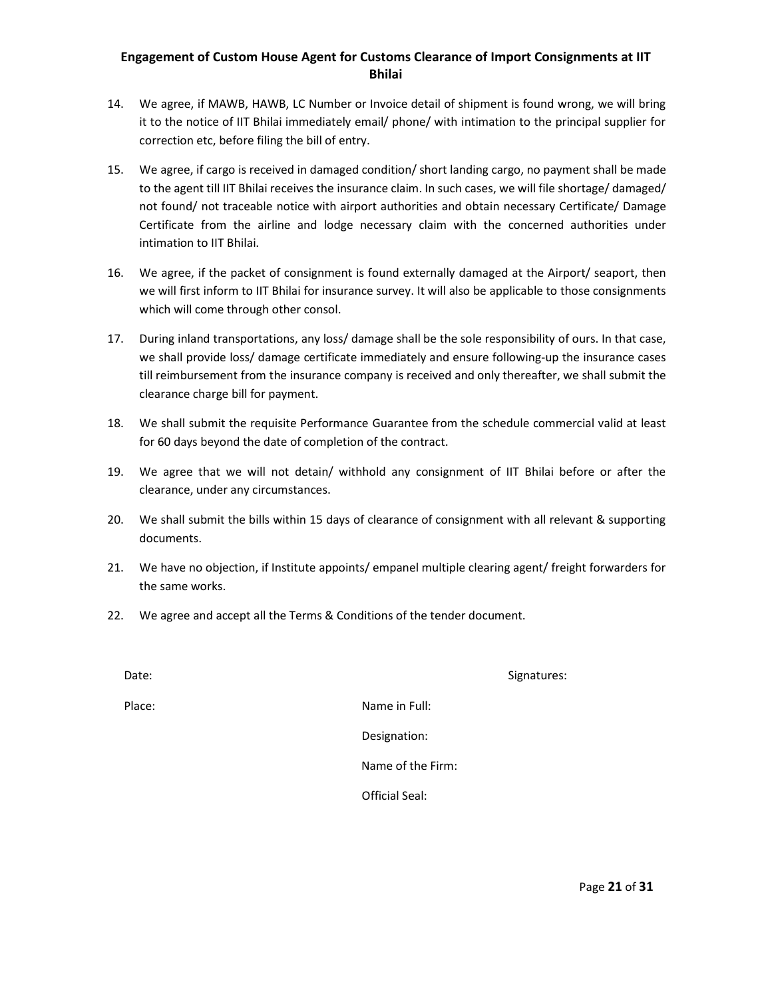- 14. We agree, if MAWB, HAWB, LC Number or Invoice detail of shipment is found wrong, we will bring it to the notice of IIT Bhilai immediately email/ phone/ with intimation to the principal supplier for correction etc, before filing the bill of entry.
- 15. We agree, if cargo is received in damaged condition/ short landing cargo, no payment shall be made to the agent till IIT Bhilai receives the insurance claim. In such cases, we will file shortage/ damaged/ not found/ not traceable notice with airport authorities and obtain necessary Certificate/ Damage Certificate from the airline and lodge necessary claim with the concerned authorities under intimation to IIT Bhilai.
- 16. We agree, if the packet of consignment is found externally damaged at the Airport/ seaport, then we will first inform to IIT Bhilai for insurance survey. It will also be applicable to those consignments which will come through other consol.
- 17. During inland transportations, any loss/ damage shall be the sole responsibility of ours. In that case, we shall provide loss/ damage certificate immediately and ensure following-up the insurance cases till reimbursement from the insurance company is received and only thereafter, we shall submit the clearance charge bill for payment.
- 18. We shall submit the requisite Performance Guarantee from the schedule commercial valid at least for 60 days beyond the date of completion of the contract.
- 19. We agree that we will not detain/ withhold any consignment of IIT Bhilai before or after the clearance, under any circumstances.
- 20. We shall submit the bills within 15 days of clearance of consignment with all relevant & supporting documents.
- 21. We have no objection, if Institute appoints/ empanel multiple clearing agent/ freight forwarders for the same works.
- 22. We agree and accept all the Terms & Conditions of the tender document.

Date: Signatures: Signatures: Signatures: Signatures: Signatures: Signatures: Signatures: Signatures: Signatures: Signatures: Signatures: Signatures: Signatures: Signatures: Signatures: Signatures: Signatures: Signatures:

Place: **Place: Place: Place: Place: Place: Place: Place: Place: Place: Place: Place: Place: Place: Place: Place: Place: Place: Place: Place: Place: Place: Place: Place: Place:** 

Designation:

Name of the Firm:

Official Seal: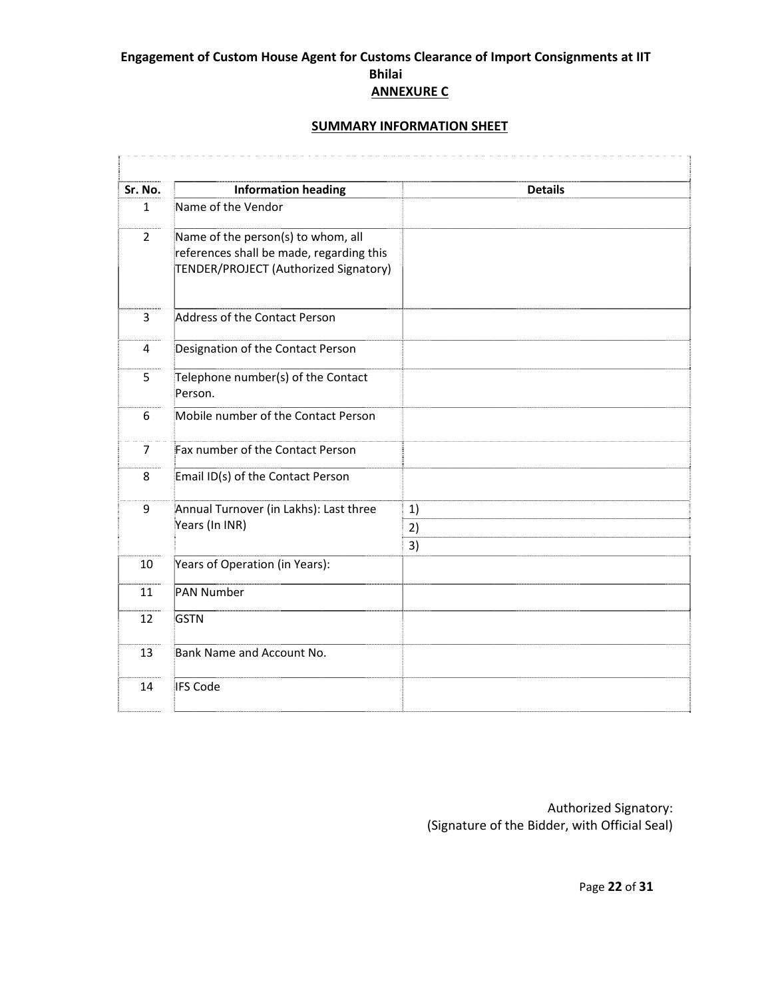## **SUMMARY INFORMATION SHEET**

| Sr. No.        | <b>Information heading</b>                                                                                              | <b>Details</b> |
|----------------|-------------------------------------------------------------------------------------------------------------------------|----------------|
| $\mathbf{1}$   | Name of the Vendor                                                                                                      |                |
| $\overline{2}$ | Name of the person(s) to whom, all<br>references shall be made, regarding this<br>TENDER/PROJECT (Authorized Signatory) |                |
| 3              | Address of the Contact Person                                                                                           |                |
| 4              | Designation of the Contact Person                                                                                       |                |
| 5              | Telephone number(s) of the Contact<br>Person.                                                                           |                |
| 6              | Mobile number of the Contact Person                                                                                     |                |
| $\overline{7}$ | Fax number of the Contact Person                                                                                        |                |
| 8              | Email ID(s) of the Contact Person                                                                                       |                |
| 9              | Annual Turnover (in Lakhs): Last three<br>Years (In INR)                                                                | 1)<br>2)<br>3) |
| 10             | Years of Operation (in Years):                                                                                          |                |
| 11             | PAN Number                                                                                                              |                |
| 12             | <b>GSTN</b>                                                                                                             |                |
| 13             | Bank Name and Account No.                                                                                               |                |
| 14             | <b>IFS Code</b>                                                                                                         |                |

Authorized Signatory: (Signature of the Bidder, with Official Seal)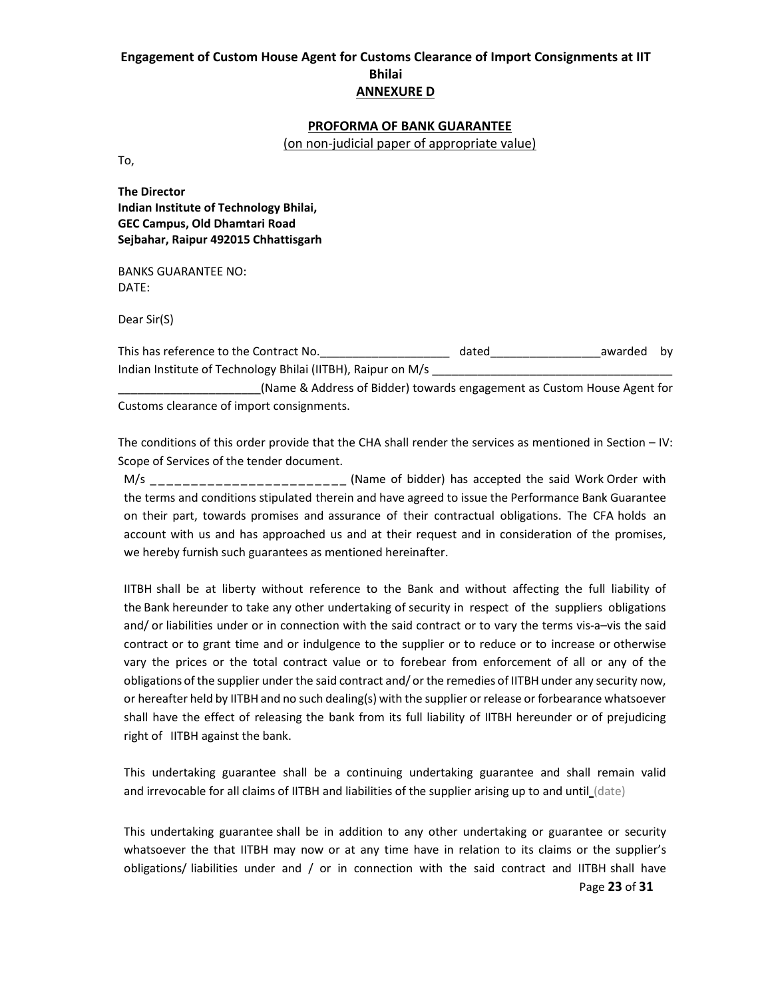#### **PROFORMA OF BANK GUARANTEE**

(on non‐judicial paper of appropriate value)

To,

**The Director Indian Institute of Technology Bhilai, GEC Campus, Old Dhamtari Road Sejbahar, Raipur 492015 Chhattisgarh**

BANKS GUARANTEE NO: DATE:

Dear Sir(S)

This has reference to the Contract No.\_\_\_\_\_\_\_\_\_\_\_\_\_\_\_\_\_\_\_\_ dated\_\_\_\_\_\_\_\_\_\_\_\_\_\_\_\_\_awarded by Indian Institute of Technology Bhilai (IITBH), Raipur on M/s

\_\_\_\_\_\_\_\_\_\_\_\_\_\_\_\_\_\_\_\_\_\_(Name & Address of Bidder) towards engagement as Custom House Agent for Customs clearance of import consignments.

The conditions of this order provide that the CHA shall render the services as mentioned in Section – IV: Scope of Services of the tender document.

M/s \_ \_ \_ \_ \_ \_ \_ \_ \_ \_ \_ \_ \_ \_ \_ \_ \_ \_ \_ \_ \_ \_ \_ \_ (Name of bidder) has accepted the said Work Order with the terms and conditions stipulated therein and have agreed to issue the Performance Bank Guarantee on their part, towards promises and assurance of their contractual obligations. The CFA holds an account with us and has approached us and at their request and in consideration of the promises, we hereby furnish such guarantees as mentioned hereinafter.

IITBH shall be at liberty without reference to the Bank and without affecting the full liability of the Bank hereunder to take any other undertaking of security in respect of the suppliers obligations and/ or liabilities under or in connection with the said contract or to vary the terms vis-a-vis the said contract or to grant time and or indulgence to the supplier or to reduce or to increase or otherwise vary the prices or the total contract value or to forebear from enforcement of all or any of the obligations of the supplier under the said contract and/ or the remedies of IITBH under any security now, or hereafter held by IITBH and no such dealing(s) with the supplier or release or forbearance whatsoever shall have the effect of releasing the bank from its full liability of IITBH hereunder or of prejudicing right of IITBH against the bank.

This undertaking guarantee shall be a continuing undertaking guarantee and shall remain valid and irrevocable for all claims of IITBH and liabilities of the supplier arising up to and until (date)

Page **23** of **31** This undertaking guarantee shall be in addition to any other undertaking or guarantee or security whatsoever the that IITBH may now or at any time have in relation to its claims or the supplier's obligations/ liabilities under and / or in connection with the said contract and IITBH shall have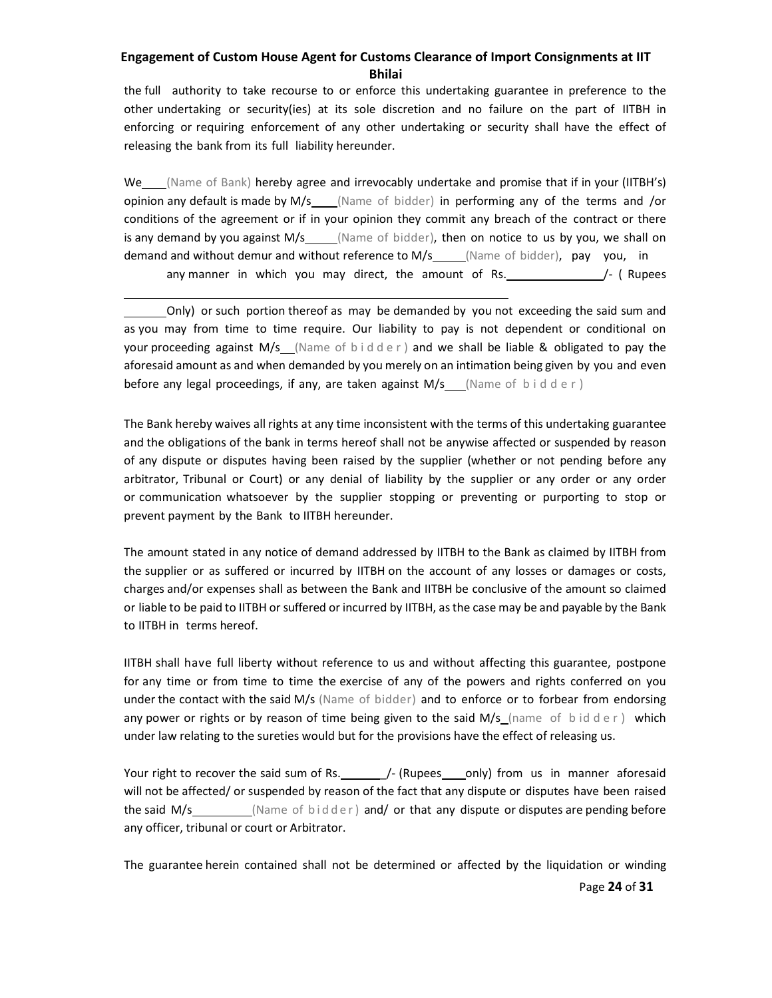the full authority to take recourse to or enforce this undertaking guarantee in preference to the other undertaking or security(ies) at its sole discretion and no failure on the part of IITBH in enforcing or requiring enforcement of any other undertaking or security shall have the effect of releasing the bank from its full liability hereunder.

We (Name of Bank) hereby agree and irrevocably undertake and promise that if in your (IITBH's) opinion any default is made by  $M/s$  (Name of bidder) in performing any of the terms and /or conditions of the agreement or if in your opinion they commit any breach of the contract or there is any demand by you against  $M/s$  (Name of bidder), then on notice to us by you, we shall on demand and without demur and without reference to M/s (Name of bidder), pay you, in any manner in which you may direct, the amount of Rs.  $/$ - (Rupees

 Only) or such portion thereof as may be demanded by you not exceeding the said sum and as you may from time to time require. Our liability to pay is not dependent or conditional on your proceeding against  $M/s$  (Name of  $b$  idder) and we shall be liable & obligated to pay the aforesaid amount as and when demanded by you merely on an intimation being given by you and even before any legal proceedings, if any, are taken against  $M/s$  (Name of bidder)

<u> 1989 - Johann Barn, mars eta bat erroman erroman erroman erroman erroman ez erroman erroman ez erroman ez e</u>

The Bank hereby waives all rights at any time inconsistent with the terms of this undertaking guarantee and the obligations of the bank in terms hereof shall not be anywise affected or suspended by reason of any dispute or disputes having been raised by the supplier (whether or not pending before any arbitrator, Tribunal or Court) or any denial of liability by the supplier or any order or any order or communication whatsoever by the supplier stopping or preventing or purporting to stop or prevent payment by the Bank to IITBH hereunder.

The amount stated in any notice of demand addressed by IITBH to the Bank as claimed by IITBH from the supplier or as suffered or incurred by IITBH on the account of any losses or damages or costs, charges and/or expenses shall as between the Bank and IITBH be conclusive of the amount so claimed or liable to be paid to IITBH or suffered or incurred by IITBH, as the case may be and payable by the Bank to IITBH in terms hereof.

IITBH shall have full liberty without reference to us and without affecting this guarantee, postpone for any time or from time to time the exercise of any of the powers and rights conferred on you under the contact with the said M/s (Name of bidder) and to enforce or to forbear from endorsing any power or rights or by reason of time being given to the said  $M/s$  (name of bidder) which under law relating to the sureties would but for the provisions have the effect of releasing us.

Your right to recover the said sum of Rs.  $\frac{1}{2}$  (Rupees only) from us in manner aforesaid will not be affected/ or suspended by reason of the fact that any dispute or disputes have been raised the said  $M/s$  (Name of  $bid der)$  and/ or that any dispute or disputes are pending before any officer, tribunal or court or Arbitrator.

The guarantee herein contained shall not be determined or affected by the liquidation or winding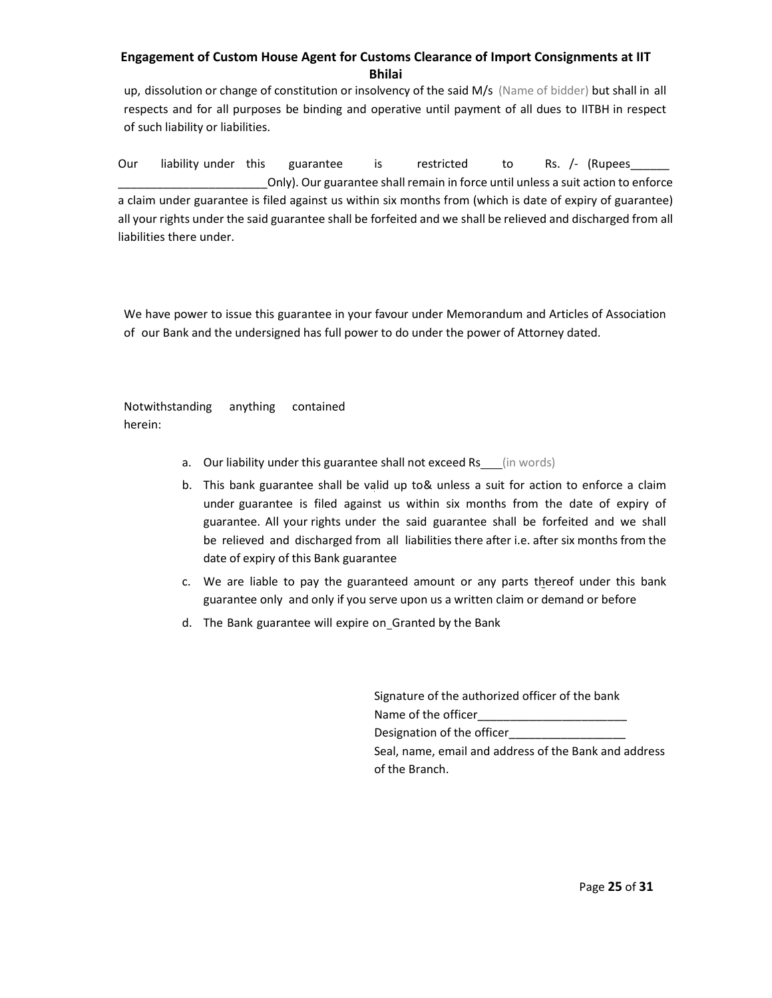up, dissolution or change of constitution or insolvency of the said M/s (Name of bidder) but shall in all respects and for all purposes be binding and operative until payment of all dues to IITBH in respect of such liability or liabilities.

Our liability under this guarantee is restricted to Rs. /- (Rupees\_\_\_\_\_\_\_\_\_\_\_\_\_\_ \_\_\_\_\_\_\_\_\_\_\_\_\_\_\_\_\_\_\_\_\_\_\_Only). Our guarantee shall remain in force until unless a suit action to enforce a claim under guarantee is filed against us within six months from (which is date of expiry of guarantee) all your rights under the said guarantee shall be forfeited and we shall be relieved and discharged from all liabilities there under.

We have power to issue this guarantee in your favour under Memorandum and Articles of Association of our Bank and the undersigned has full power to do under the power of Attorney dated.

Notwithstanding anything contained herein:

- a. Our liability under this guarantee shall not exceed Rs\_\_(in words)
- b. This bank guarantee shall be valid up to& unless a suit for action to enforce a claim under guarantee is filed against us within six months from the date of expiry of guarantee. All your rights under the said guarantee shall be forfeited and we shall be relieved and discharged from all liabilities there after i.e. after six months from the date of expiry of this Bank guarantee
- c. We are liable to pay the guaranteed amount or any parts thereof under this bank guarantee only and only if you serve upon us a written claim or demand or before
- d. The Bank guarantee will expire on Granted by the Bank

| Signature of the authorized officer of the bank       |
|-------------------------------------------------------|
| Name of the officer                                   |
| Designation of the officer                            |
| Seal, name, email and address of the Bank and address |
| of the Branch.                                        |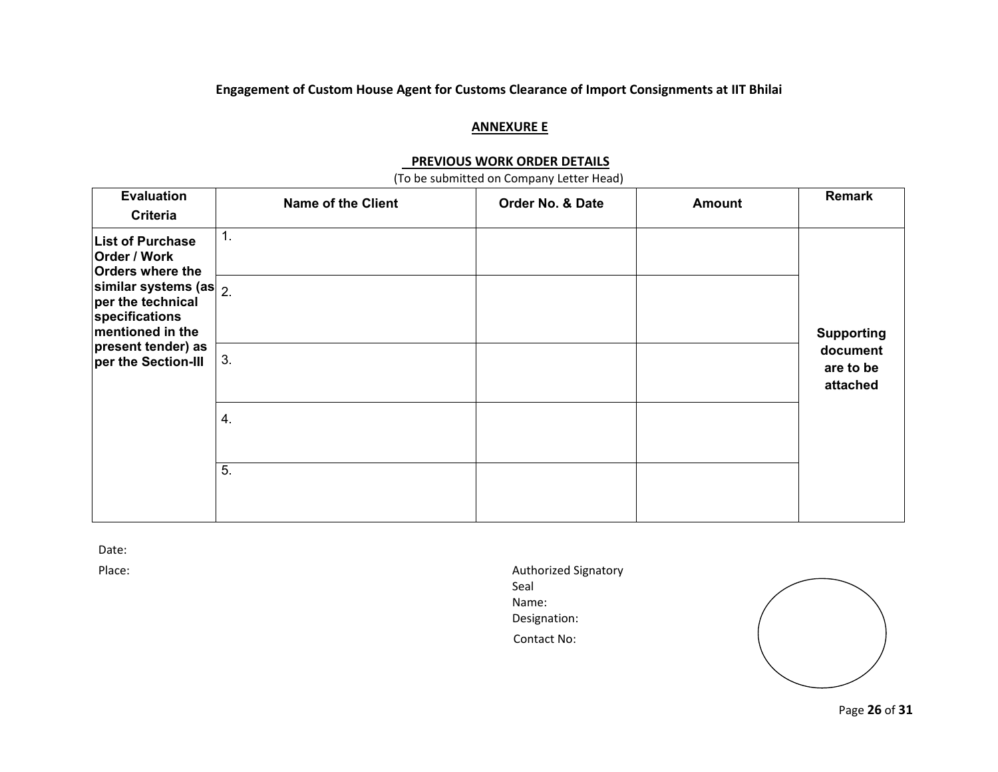#### **ANNEXURE E**

#### **PREVIOUS WORK ORDER DETAILS**

(To be submitted on Company Letter Head)

| <b>Evaluation</b><br><b>Criteria</b>                                                      | <b>Name of the Client</b> | Order No. & Date | <b>Amount</b> | Remark                            |
|-------------------------------------------------------------------------------------------|---------------------------|------------------|---------------|-----------------------------------|
| <b>List of Purchase</b><br>Order / Work<br><b>Orders where the</b>                        | $\mathbf{1}$ .            |                  |               |                                   |
| similar systems (as $\vert$ 2.<br>per the technical<br>specifications<br>mentioned in the |                           |                  |               | <b>Supporting</b>                 |
| present tender) as<br>per the Section-III                                                 | 3.                        |                  |               | document<br>are to be<br>attached |
|                                                                                           | 4.                        |                  |               |                                   |
|                                                                                           | 5.                        |                  |               |                                   |

Date:

Place: Authorized Signatory Seal Name: Designation: Contact No:



Page **26** of **31**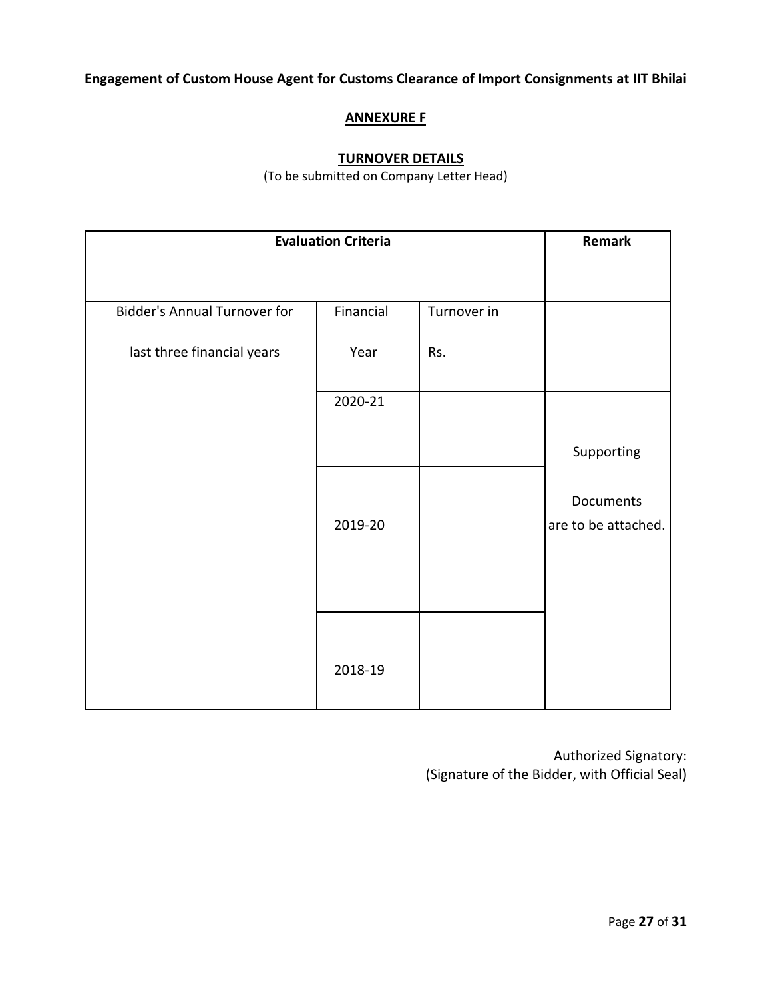## **ANNEXURE F**

## **TURNOVER DETAILS**

(To be submitted on Company Letter Head)

| <b>Evaluation Criteria</b>          |           |             | Remark                           |
|-------------------------------------|-----------|-------------|----------------------------------|
|                                     |           |             |                                  |
| <b>Bidder's Annual Turnover for</b> | Financial | Turnover in |                                  |
| last three financial years          | Year      | Rs.         |                                  |
|                                     | 2020-21   |             |                                  |
|                                     |           |             | Supporting                       |
|                                     | 2019-20   |             | Documents<br>are to be attached. |
|                                     | 2018-19   |             |                                  |

Authorized Signatory: (Signature of the Bidder, with Official Seal)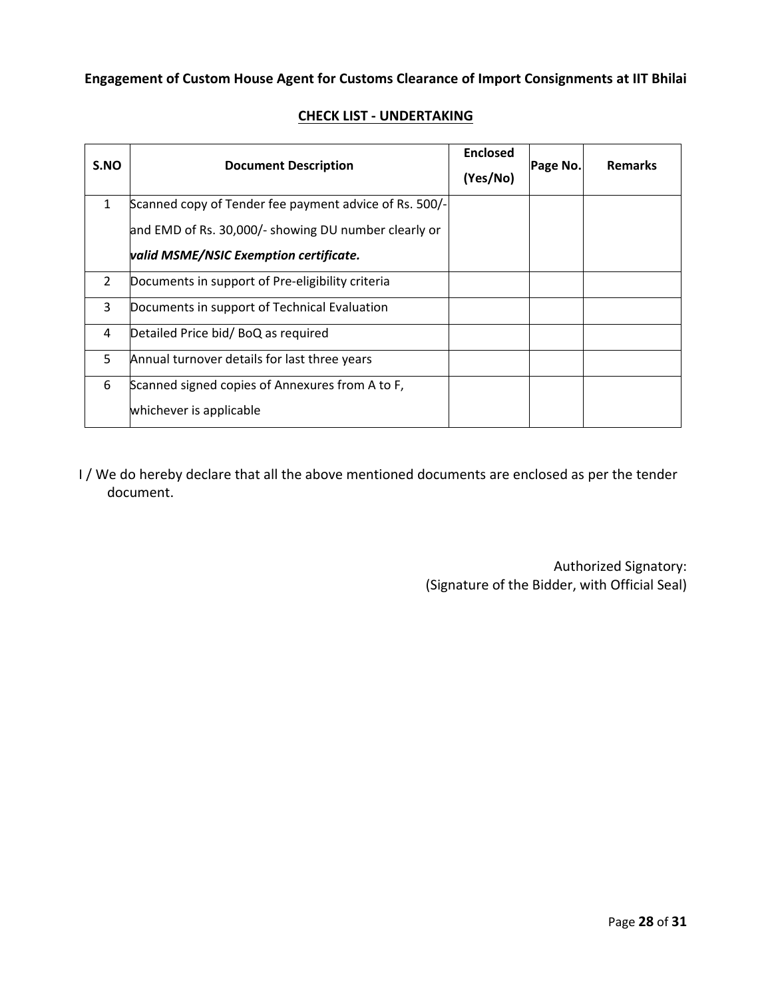| S.NO         | <b>Document Description</b>                            | <b>Enclosed</b> | Page No. | <b>Remarks</b> |
|--------------|--------------------------------------------------------|-----------------|----------|----------------|
|              |                                                        | (Yes/No)        |          |                |
| $\mathbf{1}$ | Scanned copy of Tender fee payment advice of Rs. 500/- |                 |          |                |
|              | and EMD of Rs. 30,000/- showing DU number clearly or   |                 |          |                |
|              | valid MSME/NSIC Exemption certificate.                 |                 |          |                |
| 2            | Documents in support of Pre-eligibility criteria       |                 |          |                |
| 3            | Documents in support of Technical Evaluation           |                 |          |                |
| 4            | Detailed Price bid/BoQ as required                     |                 |          |                |
| 5            | Annual turnover details for last three years           |                 |          |                |
| 6            | Scanned signed copies of Annexures from A to F,        |                 |          |                |
|              | whichever is applicable                                |                 |          |                |

## **CHECK LIST ‐ UNDERTAKING**

I / We do hereby declare that all the above mentioned documents are enclosed as per the tender document.

> Authorized Signatory: (Signature of the Bidder, with Official Seal)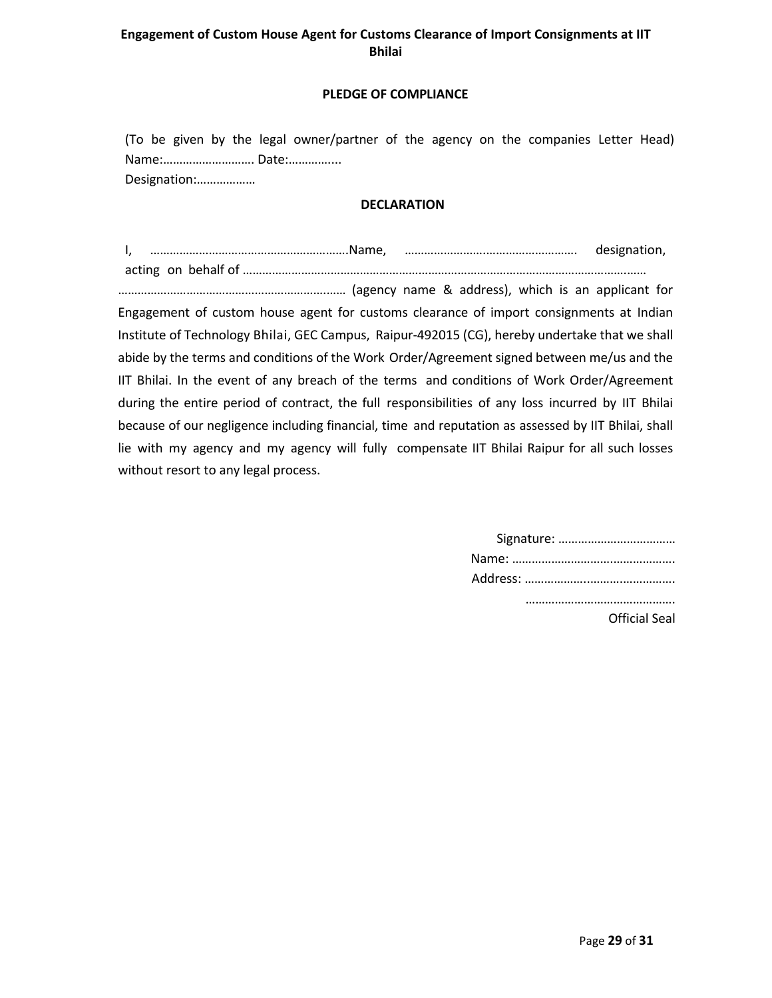#### **PLEDGE OF COMPLIANCE**

(To be given by the legal owner/partner of the agency on the companies Letter Head) Name:………………………. Date:………….... Designation:………………

#### **DECLARATION**

I, …………………………………………………….Name, …………………….………………………. designation, acting on behalf of ……………………………………………………………………………………………………….……

……………………………………………………….…… (agency name & address), which is an applicant for Engagement of custom house agent for customs clearance of import consignments at Indian Institute of Technology Bhilai, GEC Campus, Raipur‐492015 (CG), hereby undertake that we shall abide by the terms and conditions of the Work Order/Agreement signed between me/us and the IIT Bhilai. In the event of any breach of the terms and conditions of Work Order/Agreement during the entire period of contract, the full responsibilities of any loss incurred by IIT Bhilai because of our negligence including financial, time and reputation as assessed by IIT Bhilai, shall lie with my agency and my agency will fully compensate IIT Bhilai Raipur for all such losses without resort to any legal process.

| Official Seal |
|---------------|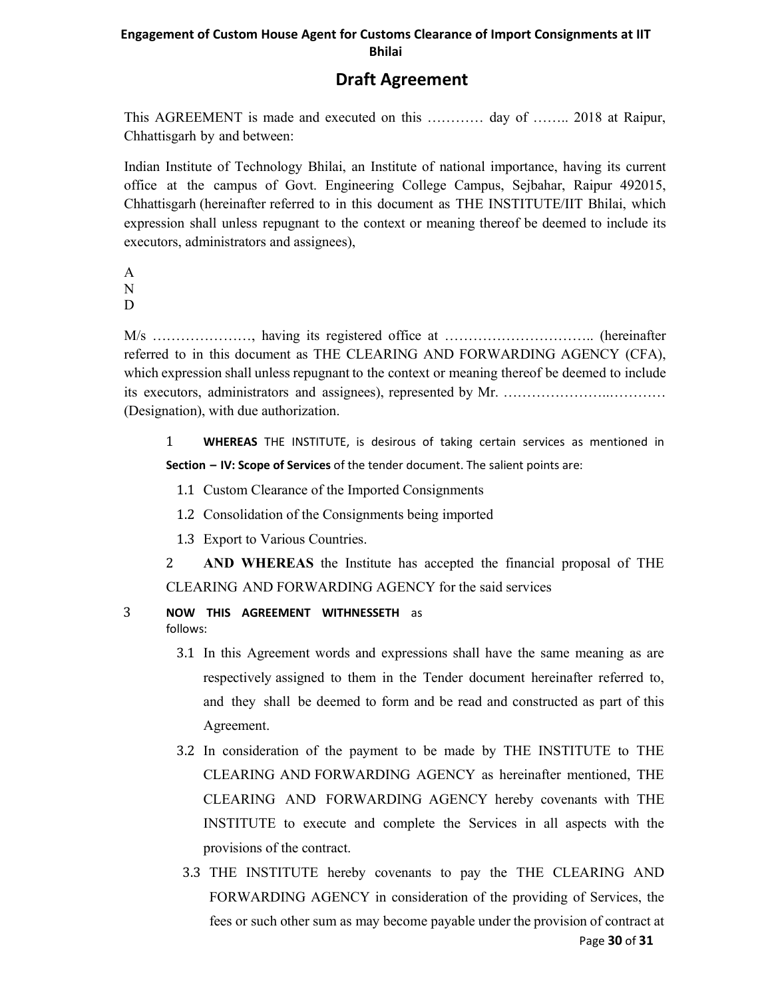# **Draft Agreement**

This AGREEMENT is made and executed on this ………… day of …….. 2018 at Raipur, Chhattisgarh by and between:

Indian Institute of Technology Bhilai, an Institute of national importance, having its current office at the campus of Govt. Engineering College Campus, Sejbahar, Raipur 492015, Chhattisgarh (hereinafter referred to in this document as THE INSTITUTE/IIT Bhilai, which expression shall unless repugnant to the context or meaning thereof be deemed to include its executors, administrators and assignees),

A N

D

M/s …………………, having its registered office at ………………………….. (hereinafter referred to in this document as THE CLEARING AND FORWARDING AGENCY (CFA), which expression shall unless repugnant to the context or meaning thereof be deemed to include its executors, administrators and assignees), represented by Mr. …………………..………… (Designation), with due authorization.

1 **WHEREAS**  THE INSTITUTE, is desirous of taking certain services as mentioned in **Section – IV: Scope of Services** of the tender document. The salient points are:

- 1.1 Custom Clearance of the Imported Consignments
- 1.2 Consolidation of the Consignments being imported
- 1.3 Export to Various Countries.
- 2 **AND WHEREAS** the Institute has accepted the financial proposal of THE CLEARING AND FORWARDING AGENCY for the said services

# 3 **NOW THIS AGREEMENT WITHNESSETH**  as

follows:

- 3.1 In this Agreement words and expressions shall have the same meaning as are respectively assigned to them in the Tender document hereinafter referred to, and they shall be deemed to form and be read and constructed as part of this Agreement.
- 3.2 In consideration of the payment to be made by THE INSTITUTE to THE CLEARING AND FORWARDING AGENCY as hereinafter mentioned, THE CLEARING AND FORWARDING AGENCY hereby covenants with THE INSTITUTE to execute and complete the Services in all aspects with the provisions of the contract.
- 3.3 THE INSTITUTE hereby covenants to pay the THE CLEARING AND FORWARDING AGENCY in consideration of the providing of Services, the fees or such other sum as may become payable under the provision of contract at